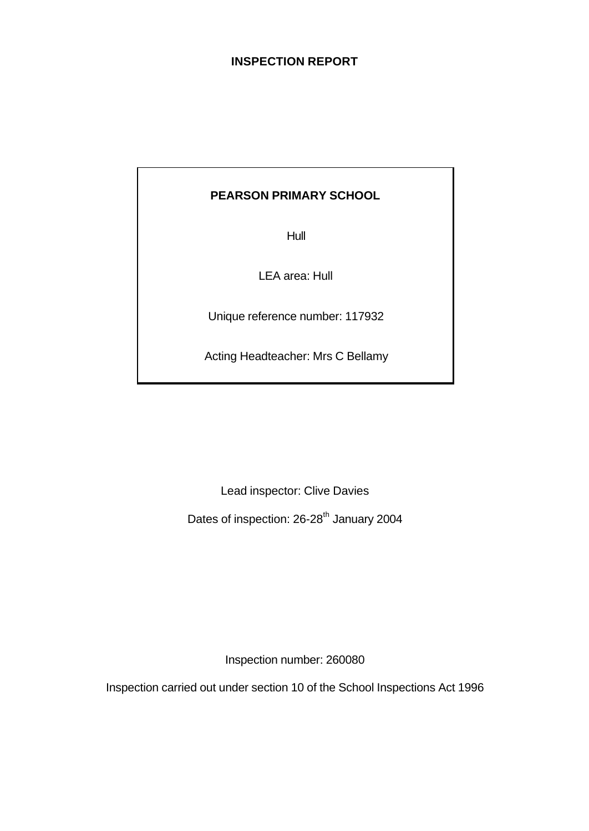### **INSPECTION REPORT**

### **PEARSON PRIMARY SCHOOL**

Hull

LEA area: Hull

Unique reference number: 117932

Acting Headteacher: Mrs C Bellamy

Lead inspector: Clive Davies

Dates of inspection: 26-28<sup>th</sup> January 2004

Inspection number: 260080

Inspection carried out under section 10 of the School Inspections Act 1996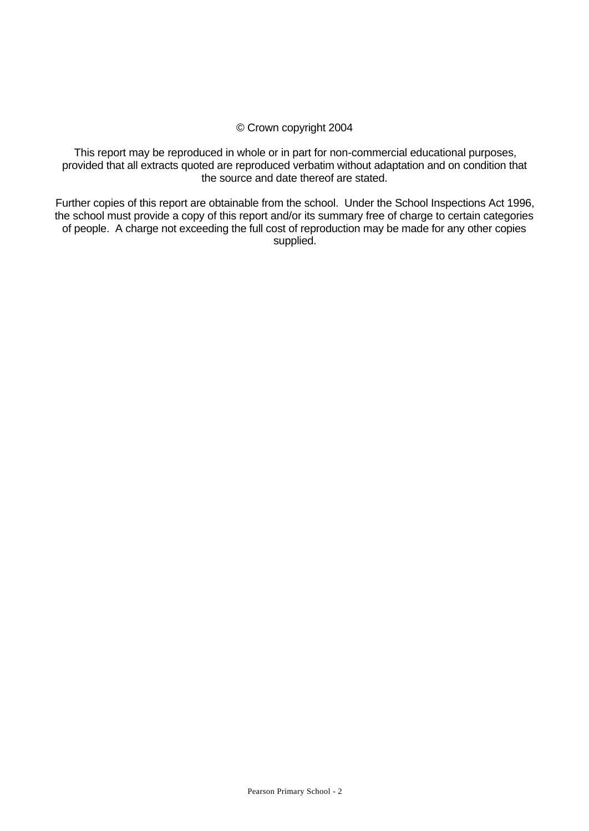#### © Crown copyright 2004

This report may be reproduced in whole or in part for non-commercial educational purposes, provided that all extracts quoted are reproduced verbatim without adaptation and on condition that the source and date thereof are stated.

Further copies of this report are obtainable from the school. Under the School Inspections Act 1996, the school must provide a copy of this report and/or its summary free of charge to certain categories of people. A charge not exceeding the full cost of reproduction may be made for any other copies supplied.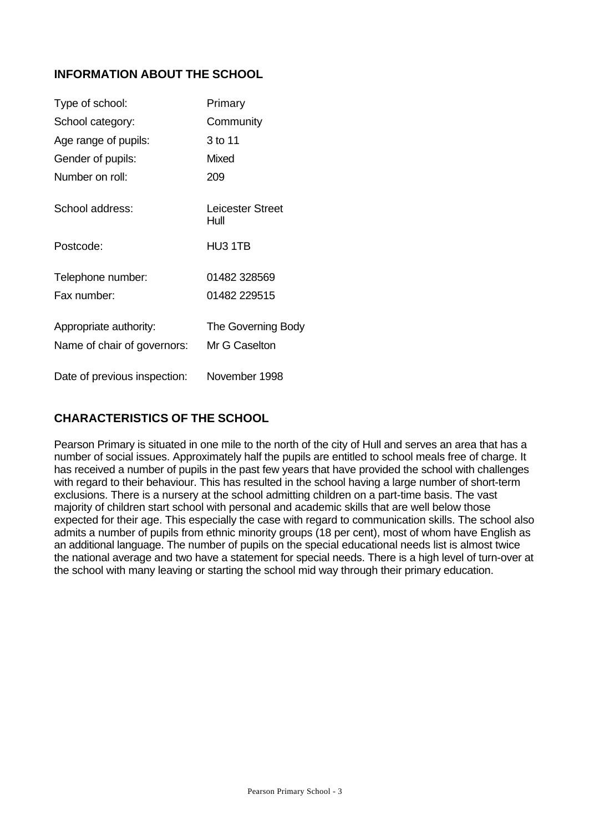### **INFORMATION ABOUT THE SCHOOL**

| Type of school:                                       | Primary                             |
|-------------------------------------------------------|-------------------------------------|
| School category:                                      | Community                           |
| Age range of pupils:                                  | 3 to 11                             |
| Gender of pupils:                                     | Mixed                               |
| Number on roll:                                       | 209                                 |
| School address:                                       | Leicester Street<br>Hull            |
| Postcode:                                             | HU3 1TB                             |
| Telephone number:                                     | 01482 328569                        |
| Fax number:                                           | 01482 229515                        |
| Appropriate authority:<br>Name of chair of governors: | The Governing Body<br>Mr G Caselton |
| Date of previous inspection:                          | November 1998                       |

## **CHARACTERISTICS OF THE SCHOOL**

Pearson Primary is situated in one mile to the north of the city of Hull and serves an area that has a number of social issues. Approximately half the pupils are entitled to school meals free of charge. It has received a number of pupils in the past few years that have provided the school with challenges with regard to their behaviour. This has resulted in the school having a large number of short-term exclusions. There is a nursery at the school admitting children on a part-time basis. The vast majority of children start school with personal and academic skills that are well below those expected for their age. This especially the case with regard to communication skills. The school also admits a number of pupils from ethnic minority groups (18 per cent), most of whom have English as an additional language. The number of pupils on the special educational needs list is almost twice the national average and two have a statement for special needs. There is a high level of turn-over at the school with many leaving or starting the school mid way through their primary education.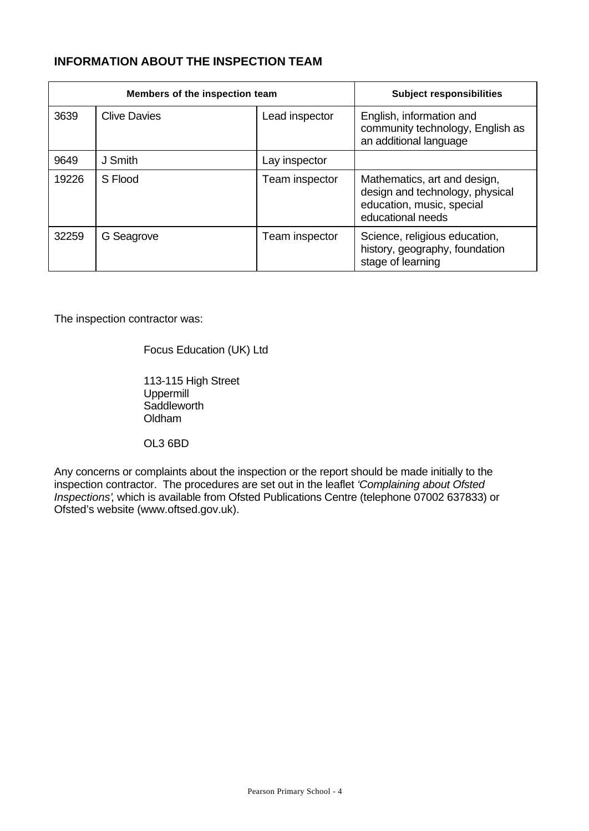### **INFORMATION ABOUT THE INSPECTION TEAM**

|       | Members of the inspection team | <b>Subject responsibilities</b> |                                                                                                                   |
|-------|--------------------------------|---------------------------------|-------------------------------------------------------------------------------------------------------------------|
| 3639  | <b>Clive Davies</b>            | Lead inspector                  | English, information and<br>community technology, English as<br>an additional language                            |
| 9649  | J Smith                        | Lay inspector                   |                                                                                                                   |
| 19226 | S Flood                        | Team inspector                  | Mathematics, art and design,<br>design and technology, physical<br>education, music, special<br>educational needs |
| 32259 | G Seagrove                     | Team inspector                  | Science, religious education,<br>history, geography, foundation<br>stage of learning                              |

The inspection contractor was:

Focus Education (UK) Ltd

113-115 High Street Uppermill Saddleworth Oldham

OL3 6BD

Any concerns or complaints about the inspection or the report should be made initially to the inspection contractor. The procedures are set out in the leaflet *'Complaining about Ofsted Inspections'*, which is available from Ofsted Publications Centre (telephone 07002 637833) or Ofsted's website (www.oftsed.gov.uk).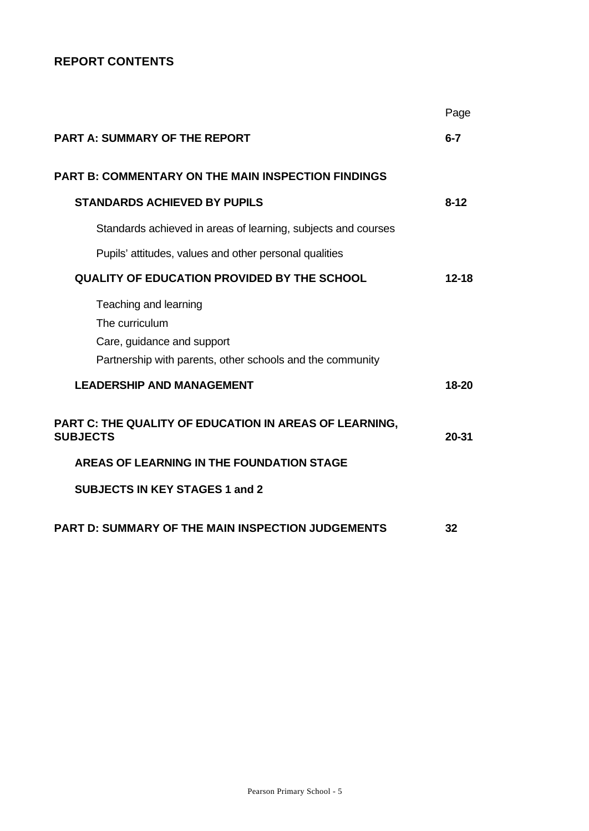## **REPORT CONTENTS**

|                                                                                                                                    | Page      |
|------------------------------------------------------------------------------------------------------------------------------------|-----------|
| <b>PART A: SUMMARY OF THE REPORT</b>                                                                                               | $6 - 7$   |
| <b>PART B: COMMENTARY ON THE MAIN INSPECTION FINDINGS</b>                                                                          |           |
| <b>STANDARDS ACHIEVED BY PUPILS</b>                                                                                                | $8 - 12$  |
| Standards achieved in areas of learning, subjects and courses                                                                      |           |
| Pupils' attitudes, values and other personal qualities                                                                             |           |
| <b>QUALITY OF EDUCATION PROVIDED BY THE SCHOOL</b>                                                                                 | $12 - 18$ |
| Teaching and learning<br>The curriculum<br>Care, guidance and support<br>Partnership with parents, other schools and the community |           |
| <b>LEADERSHIP AND MANAGEMENT</b>                                                                                                   | 18-20     |
| PART C: THE QUALITY OF EDUCATION IN AREAS OF LEARNING,<br><b>SUBJECTS</b>                                                          | 20-31     |
| AREAS OF LEARNING IN THE FOUNDATION STAGE                                                                                          |           |
| <b>SUBJECTS IN KEY STAGES 1 and 2</b>                                                                                              |           |
| <b>PART D: SUMMARY OF THE MAIN INSPECTION JUDGEMENTS</b>                                                                           | 32        |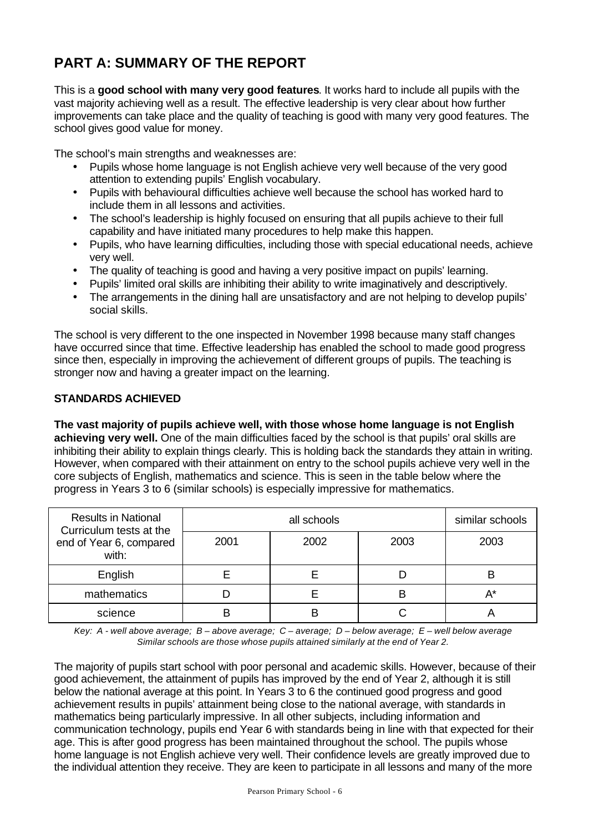# **PART A: SUMMARY OF THE REPORT**

This is a **good school with many very good features**. It works hard to include all pupils with the vast majority achieving well as a result. The effective leadership is very clear about how further improvements can take place and the quality of teaching is good with many very good features. The school gives good value for money.

The school's main strengths and weaknesses are:

- Pupils whose home language is not English achieve very well because of the very good attention to extending pupils' English vocabulary.
- Pupils with behavioural difficulties achieve well because the school has worked hard to include them in all lessons and activities.
- The school's leadership is highly focused on ensuring that all pupils achieve to their full capability and have initiated many procedures to help make this happen.
- Pupils, who have learning difficulties, including those with special educational needs, achieve very well.
- The quality of teaching is good and having a very positive impact on pupils' learning.
- Pupils' limited oral skills are inhibiting their ability to write imaginatively and descriptively.
- The arrangements in the dining hall are unsatisfactory and are not helping to develop pupils' social skills.

The school is very different to the one inspected in November 1998 because many staff changes have occurred since that time. Effective leadership has enabled the school to made good progress since then, especially in improving the achievement of different groups of pupils. The teaching is stronger now and having a greater impact on the learning.

### **STANDARDS ACHIEVED**

**The vast majority of pupils achieve well, with those whose home language is not English achieving very well.** One of the main difficulties faced by the school is that pupils' oral skills are inhibiting their ability to explain things clearly. This is holding back the standards they attain in writing. However, when compared with their attainment on entry to the school pupils achieve very well in the core subjects of English, mathematics and science. This is seen in the table below where the progress in Years 3 to 6 (similar schools) is especially impressive for mathematics.

| <b>Results in National</b><br>Curriculum tests at the |      | similar schools |      |       |
|-------------------------------------------------------|------|-----------------|------|-------|
| end of Year 6, compared<br>with:                      | 2001 | 2002            | 2003 | 2003  |
| English                                               |      |                 |      | в     |
| mathematics                                           |      |                 | B    | $A^*$ |
| science                                               |      |                 |      |       |

*Key: A - well above average; B – above average; C – average; D – below average; E – well below average Similar schools are those whose pupils attained similarly at the end of Year 2.*

The majority of pupils start school with poor personal and academic skills. However, because of their good achievement, the attainment of pupils has improved by the end of Year 2, although it is still below the national average at this point. In Years 3 to 6 the continued good progress and good achievement results in pupils' attainment being close to the national average, with standards in mathematics being particularly impressive. In all other subjects, including information and communication technology, pupils end Year 6 with standards being in line with that expected for their age. This is after good progress has been maintained throughout the school. The pupils whose home language is not English achieve very well. Their confidence levels are greatly improved due to the individual attention they receive. They are keen to participate in all lessons and many of the more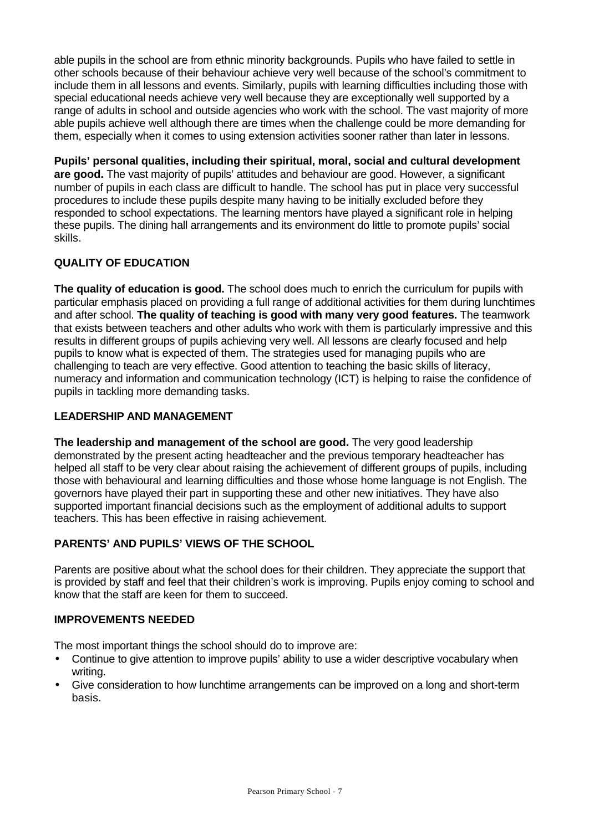able pupils in the school are from ethnic minority backgrounds. Pupils who have failed to settle in other schools because of their behaviour achieve very well because of the school's commitment to include them in all lessons and events. Similarly, pupils with learning difficulties including those with special educational needs achieve very well because they are exceptionally well supported by a range of adults in school and outside agencies who work with the school. The vast majority of more able pupils achieve well although there are times when the challenge could be more demanding for them, especially when it comes to using extension activities sooner rather than later in lessons.

**Pupils' personal qualities, including their spiritual, moral, social and cultural development are good.** The vast majority of pupils' attitudes and behaviour are good. However, a significant number of pupils in each class are difficult to handle. The school has put in place very successful procedures to include these pupils despite many having to be initially excluded before they responded to school expectations. The learning mentors have played a significant role in helping these pupils. The dining hall arrangements and its environment do little to promote pupils' social skills.

### **QUALITY OF EDUCATION**

**The quality of education is good.** The school does much to enrich the curriculum for pupils with particular emphasis placed on providing a full range of additional activities for them during lunchtimes and after school. **The quality of teaching is good with many very good features.** The teamwork that exists between teachers and other adults who work with them is particularly impressive and this results in different groups of pupils achieving very well. All lessons are clearly focused and help pupils to know what is expected of them. The strategies used for managing pupils who are challenging to teach are very effective. Good attention to teaching the basic skills of literacy, numeracy and information and communication technology (ICT) is helping to raise the confidence of pupils in tackling more demanding tasks.

### **LEADERSHIP AND MANAGEMENT**

**The leadership and management of the school are good.** The very good leadership demonstrated by the present acting headteacher and the previous temporary headteacher has helped all staff to be very clear about raising the achievement of different groups of pupils, including those with behavioural and learning difficulties and those whose home language is not English. The governors have played their part in supporting these and other new initiatives. They have also supported important financial decisions such as the employment of additional adults to support teachers. This has been effective in raising achievement.

### **PARENTS' AND PUPILS' VIEWS OF THE SCHOOL**

Parents are positive about what the school does for their children. They appreciate the support that is provided by staff and feel that their children's work is improving. Pupils enjoy coming to school and know that the staff are keen for them to succeed.

#### **IMPROVEMENTS NEEDED**

The most important things the school should do to improve are:

- Continue to give attention to improve pupils' ability to use a wider descriptive vocabulary when writing.
- Give consideration to how lunchtime arrangements can be improved on a long and short-term basis.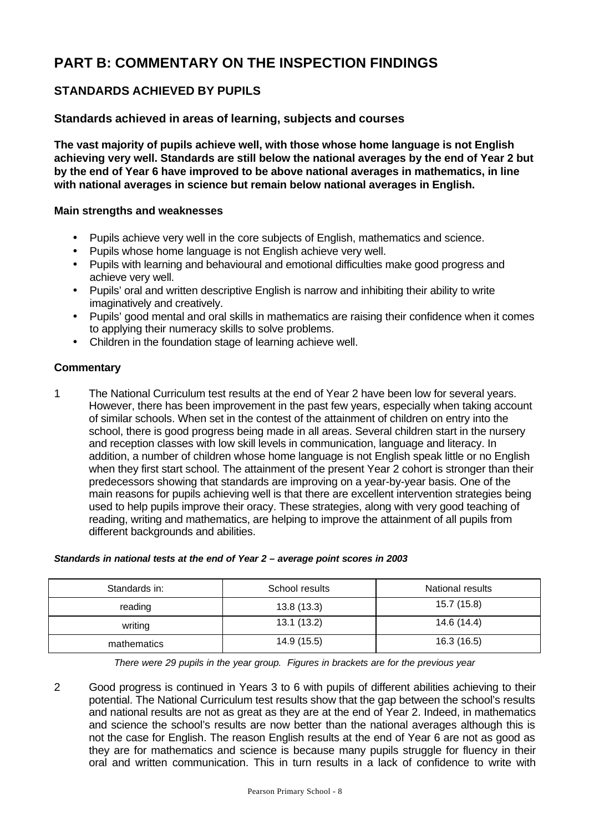# **PART B: COMMENTARY ON THE INSPECTION FINDINGS**

### **STANDARDS ACHIEVED BY PUPILS**

### **Standards achieved in areas of learning, subjects and courses**

**The vast majority of pupils achieve well, with those whose home language is not English achieving very well. Standards are still below the national averages by the end of Year 2 but by the end of Year 6 have improved to be above national averages in mathematics, in line with national averages in science but remain below national averages in English.**

#### **Main strengths and weaknesses**

- Pupils achieve very well in the core subjects of English, mathematics and science.
- Pupils whose home language is not English achieve very well.
- Pupils with learning and behavioural and emotional difficulties make good progress and achieve very well.
- Pupils' oral and written descriptive English is narrow and inhibiting their ability to write imaginatively and creatively.
- Pupils' good mental and oral skills in mathematics are raising their confidence when it comes to applying their numeracy skills to solve problems.
- Children in the foundation stage of learning achieve well.

#### **Commentary**

1 The National Curriculum test results at the end of Year 2 have been low for several years. However, there has been improvement in the past few years, especially when taking account of similar schools. When set in the contest of the attainment of children on entry into the school, there is good progress being made in all areas. Several children start in the nursery and reception classes with low skill levels in communication, language and literacy. In addition, a number of children whose home language is not English speak little or no English when they first start school. The attainment of the present Year 2 cohort is stronger than their predecessors showing that standards are improving on a year-by-year basis. One of the main reasons for pupils achieving well is that there are excellent intervention strategies being used to help pupils improve their oracy. These strategies, along with very good teaching of reading, writing and mathematics, are helping to improve the attainment of all pupils from different backgrounds and abilities.

| Standards in national tests at the end of Year 2 - average point scores in 2003 |  |
|---------------------------------------------------------------------------------|--|
|                                                                                 |  |

| Standards in: | School results | National results |
|---------------|----------------|------------------|
| reading       | 13.8(13.3)     | 15.7 (15.8)      |
| writing       | 13.1(13.2)     | 14.6 (14.4)      |
| mathematics   | 14.9 (15.5)    | 16.3 (16.5)      |

*There were 29 pupils in the year group. Figures in brackets are for the previous year*

2 Good progress is continued in Years 3 to 6 with pupils of different abilities achieving to their potential. The National Curriculum test results show that the gap between the school's results and national results are not as great as they are at the end of Year 2. Indeed, in mathematics and science the school's results are now better than the national averages although this is not the case for English. The reason English results at the end of Year 6 are not as good as they are for mathematics and science is because many pupils struggle for fluency in their oral and written communication. This in turn results in a lack of confidence to write with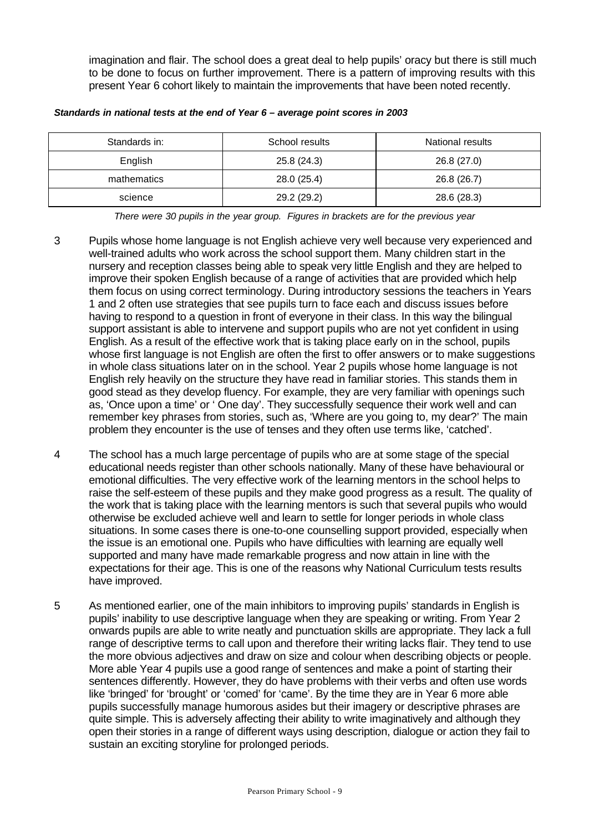imagination and flair. The school does a great deal to help pupils' oracy but there is still much to be done to focus on further improvement. There is a pattern of improving results with this present Year 6 cohort likely to maintain the improvements that have been noted recently.

| Standards in: | School results | National results |
|---------------|----------------|------------------|
| English       | 25.8(24.3)     | 26.8 (27.0)      |
| mathematics   | 28.0 (25.4)    | 26.8 (26.7)      |
| science       | 29.2 (29.2)    | 28.6 (28.3)      |

#### *Standards in national tests at the end of Year 6 – average point scores in 2003*

*There were 30 pupils in the year group. Figures in brackets are for the previous year*

- 3 Pupils whose home language is not English achieve very well because very experienced and well-trained adults who work across the school support them. Many children start in the nursery and reception classes being able to speak very little English and they are helped to improve their spoken English because of a range of activities that are provided which help them focus on using correct terminology. During introductory sessions the teachers in Years 1 and 2 often use strategies that see pupils turn to face each and discuss issues before having to respond to a question in front of everyone in their class. In this way the bilingual support assistant is able to intervene and support pupils who are not yet confident in using English. As a result of the effective work that is taking place early on in the school, pupils whose first language is not English are often the first to offer answers or to make suggestions in whole class situations later on in the school. Year 2 pupils whose home language is not English rely heavily on the structure they have read in familiar stories. This stands them in good stead as they develop fluency. For example, they are very familiar with openings such as, 'Once upon a time' or ' One day'. They successfully sequence their work well and can remember key phrases from stories, such as, 'Where are you going to, my dear?' The main problem they encounter is the use of tenses and they often use terms like, 'catched'.
- 4 The school has a much large percentage of pupils who are at some stage of the special educational needs register than other schools nationally. Many of these have behavioural or emotional difficulties. The very effective work of the learning mentors in the school helps to raise the self-esteem of these pupils and they make good progress as a result. The quality of the work that is taking place with the learning mentors is such that several pupils who would otherwise be excluded achieve well and learn to settle for longer periods in whole class situations. In some cases there is one-to-one counselling support provided, especially when the issue is an emotional one. Pupils who have difficulties with learning are equally well supported and many have made remarkable progress and now attain in line with the expectations for their age. This is one of the reasons why National Curriculum tests results have improved.
- 5 As mentioned earlier, one of the main inhibitors to improving pupils' standards in English is pupils' inability to use descriptive language when they are speaking or writing. From Year 2 onwards pupils are able to write neatly and punctuation skills are appropriate. They lack a full range of descriptive terms to call upon and therefore their writing lacks flair. They tend to use the more obvious adjectives and draw on size and colour when describing objects or people. More able Year 4 pupils use a good range of sentences and make a point of starting their sentences differently. However, they do have problems with their verbs and often use words like 'bringed' for 'brought' or 'comed' for 'came'. By the time they are in Year 6 more able pupils successfully manage humorous asides but their imagery or descriptive phrases are quite simple. This is adversely affecting their ability to write imaginatively and although they open their stories in a range of different ways using description, dialogue or action they fail to sustain an exciting storyline for prolonged periods.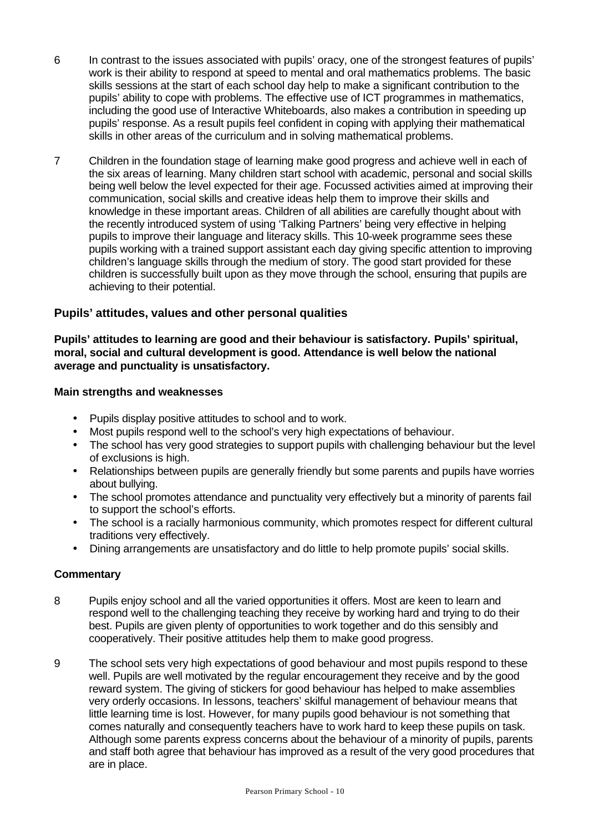- 6 In contrast to the issues associated with pupils' oracy, one of the strongest features of pupils' work is their ability to respond at speed to mental and oral mathematics problems. The basic skills sessions at the start of each school day help to make a significant contribution to the pupils' ability to cope with problems. The effective use of ICT programmes in mathematics, including the good use of Interactive Whiteboards, also makes a contribution in speeding up pupils' response. As a result pupils feel confident in coping with applying their mathematical skills in other areas of the curriculum and in solving mathematical problems.
- 7 Children in the foundation stage of learning make good progress and achieve well in each of the six areas of learning. Many children start school with academic, personal and social skills being well below the level expected for their age. Focussed activities aimed at improving their communication, social skills and creative ideas help them to improve their skills and knowledge in these important areas. Children of all abilities are carefully thought about with the recently introduced system of using 'Talking Partners' being very effective in helping pupils to improve their language and literacy skills. This 10-week programme sees these pupils working with a trained support assistant each day giving specific attention to improving children's language skills through the medium of story. The good start provided for these children is successfully built upon as they move through the school, ensuring that pupils are achieving to their potential.

### **Pupils' attitudes, values and other personal qualities**

**Pupils' attitudes to learning are good and their behaviour is satisfactory. Pupils' spiritual, moral, social and cultural development is good. Attendance is well below the national average and punctuality is unsatisfactory.**

#### **Main strengths and weaknesses**

- Pupils display positive attitudes to school and to work.
- Most pupils respond well to the school's very high expectations of behaviour.
- The school has very good strategies to support pupils with challenging behaviour but the level of exclusions is high.
- Relationships between pupils are generally friendly but some parents and pupils have worries about bullying.
- The school promotes attendance and punctuality very effectively but a minority of parents fail to support the school's efforts.
- The school is a racially harmonious community, which promotes respect for different cultural traditions very effectively.
- Dining arrangements are unsatisfactory and do little to help promote pupils' social skills.

- 8 Pupils enjoy school and all the varied opportunities it offers. Most are keen to learn and respond well to the challenging teaching they receive by working hard and trying to do their best. Pupils are given plenty of opportunities to work together and do this sensibly and cooperatively. Their positive attitudes help them to make good progress.
- 9 The school sets very high expectations of good behaviour and most pupils respond to these well. Pupils are well motivated by the regular encouragement they receive and by the good reward system. The giving of stickers for good behaviour has helped to make assemblies very orderly occasions. In lessons, teachers' skilful management of behaviour means that little learning time is lost. However, for many pupils good behaviour is not something that comes naturally and consequently teachers have to work hard to keep these pupils on task. Although some parents express concerns about the behaviour of a minority of pupils, parents and staff both agree that behaviour has improved as a result of the very good procedures that are in place.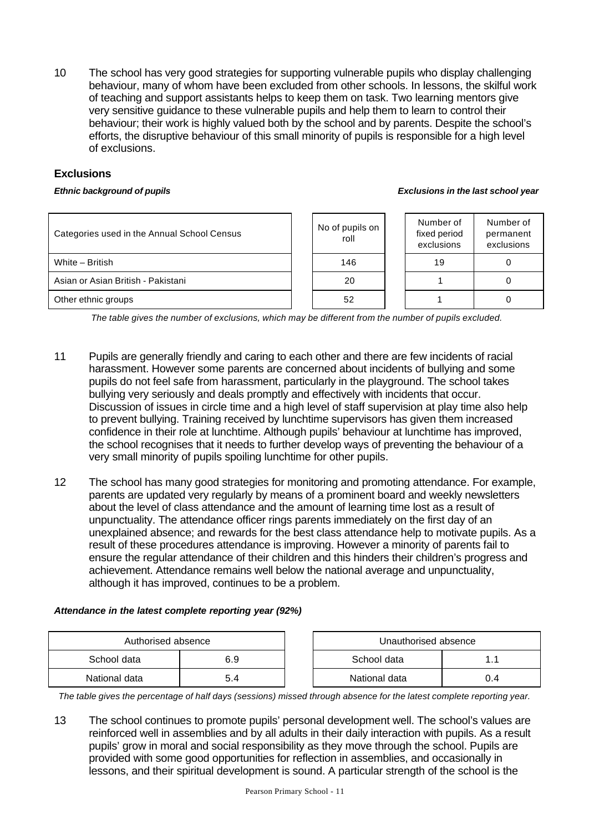10 The school has very good strategies for supporting vulnerable pupils who display challenging behaviour, many of whom have been excluded from other schools. In lessons, the skilful work of teaching and support assistants helps to keep them on task. Two learning mentors give very sensitive guidance to these vulnerable pupils and help them to learn to control their behaviour; their work is highly valued both by the school and by parents. Despite the school's efforts, the disruptive behaviour of this small minority of pupils is responsible for a high level of exclusions.

### **Exclusions**

#### *Ethnic background of pupils Exclusions in the last school year*

| Categories used in the Annual School Census | No of pupils on<br>roll | Number of<br>fixed period<br>exclusions | Number of<br>permanent<br>exclusions |
|---------------------------------------------|-------------------------|-----------------------------------------|--------------------------------------|
| White - British                             | 146                     | 19                                      |                                      |
| Asian or Asian British - Pakistani          | 20                      |                                         |                                      |
| Other ethnic groups                         | 52                      |                                         |                                      |

*The table gives the number of exclusions, which may be different from the number of pupils excluded.*

- 11 Pupils are generally friendly and caring to each other and there are few incidents of racial harassment. However some parents are concerned about incidents of bullying and some pupils do not feel safe from harassment, particularly in the playground. The school takes bullying very seriously and deals promptly and effectively with incidents that occur. Discussion of issues in circle time and a high level of staff supervision at play time also help to prevent bullying. Training received by lunchtime supervisors has given them increased confidence in their role at lunchtime. Although pupils' behaviour at lunchtime has improved, the school recognises that it needs to further develop ways of preventing the behaviour of a very small minority of pupils spoiling lunchtime for other pupils.
- 12 The school has many good strategies for monitoring and promoting attendance. For example, parents are updated very regularly by means of a prominent board and weekly newsletters about the level of class attendance and the amount of learning time lost as a result of unpunctuality. The attendance officer rings parents immediately on the first day of an unexplained absence; and rewards for the best class attendance help to motivate pupils. As a result of these procedures attendance is improving. However a minority of parents fail to ensure the regular attendance of their children and this hinders their children's progress and achievement. Attendance remains well below the national average and unpunctuality, although it has improved, continues to be a problem.

#### *Attendance in the latest complete reporting year (92%)*

| Authorised absence |     |  | Unauthorised absence |     |
|--------------------|-----|--|----------------------|-----|
| School data        | 6.9 |  | School data          |     |
| National data      | 5.4 |  | National data        | J.4 |

*The table gives the percentage of half days (sessions) missed through absence for the latest complete reporting year.*

13 The school continues to promote pupils' personal development well. The school's values are reinforced well in assemblies and by all adults in their daily interaction with pupils. As a result pupils' grow in moral and social responsibility as they move through the school. Pupils are provided with some good opportunities for reflection in assemblies, and occasionally in lessons, and their spiritual development is sound. A particular strength of the school is the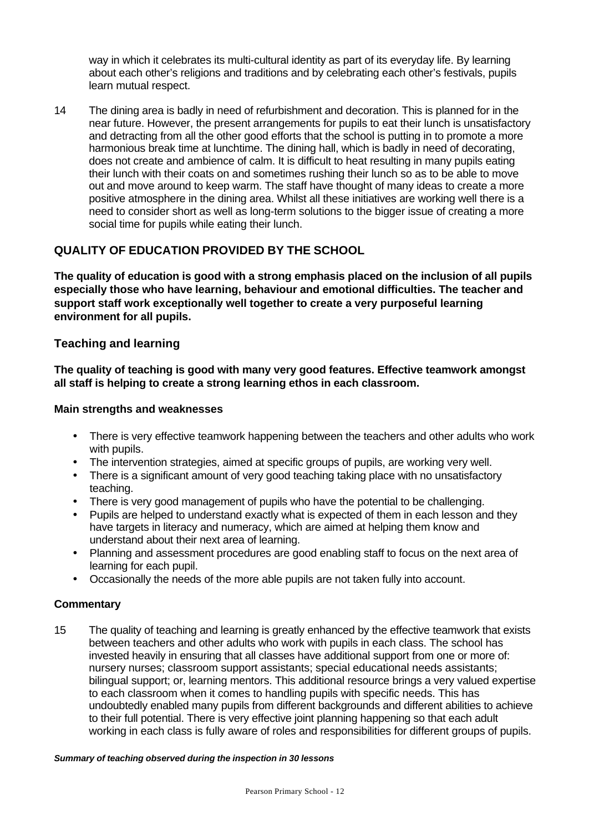way in which it celebrates its multi-cultural identity as part of its everyday life. By learning about each other's religions and traditions and by celebrating each other's festivals, pupils learn mutual respect.

14 The dining area is badly in need of refurbishment and decoration. This is planned for in the near future. However, the present arrangements for pupils to eat their lunch is unsatisfactory and detracting from all the other good efforts that the school is putting in to promote a more harmonious break time at lunchtime. The dining hall, which is badly in need of decorating, does not create and ambience of calm. It is difficult to heat resulting in many pupils eating their lunch with their coats on and sometimes rushing their lunch so as to be able to move out and move around to keep warm. The staff have thought of many ideas to create a more positive atmosphere in the dining area. Whilst all these initiatives are working well there is a need to consider short as well as long-term solutions to the bigger issue of creating a more social time for pupils while eating their lunch.

### **QUALITY OF EDUCATION PROVIDED BY THE SCHOOL**

**The quality of education is good with a strong emphasis placed on the inclusion of all pupils especially those who have learning, behaviour and emotional difficulties. The teacher and support staff work exceptionally well together to create a very purposeful learning environment for all pupils.**

### **Teaching and learning**

**The quality of teaching is good with many very good features. Effective teamwork amongst all staff is helping to create a strong learning ethos in each classroom.**

#### **Main strengths and weaknesses**

- There is very effective teamwork happening between the teachers and other adults who work with pupils.
- The intervention strategies, aimed at specific groups of pupils, are working very well.
- There is a significant amount of very good teaching taking place with no unsatisfactory teaching.
- There is very good management of pupils who have the potential to be challenging.
- Pupils are helped to understand exactly what is expected of them in each lesson and they have targets in literacy and numeracy, which are aimed at helping them know and understand about their next area of learning.
- Planning and assessment procedures are good enabling staff to focus on the next area of learning for each pupil.
- Occasionally the needs of the more able pupils are not taken fully into account.

#### **Commentary**

15 The quality of teaching and learning is greatly enhanced by the effective teamwork that exists between teachers and other adults who work with pupils in each class. The school has invested heavily in ensuring that all classes have additional support from one or more of: nursery nurses; classroom support assistants; special educational needs assistants; bilingual support; or, learning mentors. This additional resource brings a very valued expertise to each classroom when it comes to handling pupils with specific needs. This has undoubtedly enabled many pupils from different backgrounds and different abilities to achieve to their full potential. There is very effective joint planning happening so that each adult working in each class is fully aware of roles and responsibilities for different groups of pupils.

#### *Summary of teaching observed during the inspection in 30 lessons*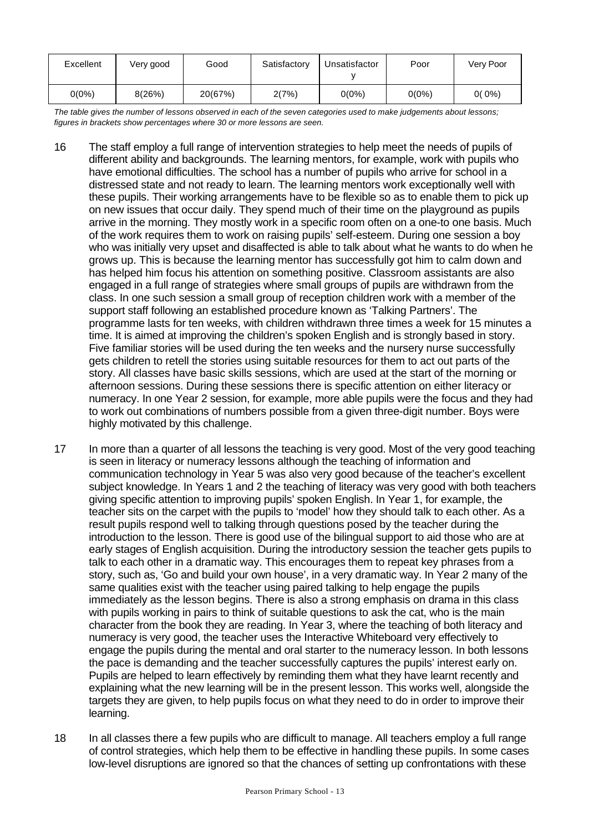| Excellent | Very good | Good    | Satisfactory | Unsatisfactor | Poor     | Very Poor |
|-----------|-----------|---------|--------------|---------------|----------|-----------|
| $0(0\%)$  | 8(26%)    | 20(67%) | 2(7%)        | $0(0\%)$      | $0(0\%)$ | $0(0\%)$  |

*The table gives the number of lessons observed in each of the seven categories used to make judgements about lessons; figures in brackets show percentages where 30 or more lessons are seen.*

- 16 The staff employ a full range of intervention strategies to help meet the needs of pupils of different ability and backgrounds. The learning mentors, for example, work with pupils who have emotional difficulties. The school has a number of pupils who arrive for school in a distressed state and not ready to learn. The learning mentors work exceptionally well with these pupils. Their working arrangements have to be flexible so as to enable them to pick up on new issues that occur daily. They spend much of their time on the playground as pupils arrive in the morning. They mostly work in a specific room often on a one-to one basis. Much of the work requires them to work on raising pupils' self-esteem. During one session a boy who was initially very upset and disaffected is able to talk about what he wants to do when he grows up. This is because the learning mentor has successfully got him to calm down and has helped him focus his attention on something positive. Classroom assistants are also engaged in a full range of strategies where small groups of pupils are withdrawn from the class. In one such session a small group of reception children work with a member of the support staff following an established procedure known as 'Talking Partners'. The programme lasts for ten weeks, with children withdrawn three times a week for 15 minutes a time. It is aimed at improving the children's spoken English and is strongly based in story. Five familiar stories will be used during the ten weeks and the nursery nurse successfully gets children to retell the stories using suitable resources for them to act out parts of the story. All classes have basic skills sessions, which are used at the start of the morning or afternoon sessions. During these sessions there is specific attention on either literacy or numeracy. In one Year 2 session, for example, more able pupils were the focus and they had to work out combinations of numbers possible from a given three-digit number. Boys were highly motivated by this challenge.
- 17 In more than a quarter of all lessons the teaching is very good. Most of the very good teaching is seen in literacy or numeracy lessons although the teaching of information and communication technology in Year 5 was also very good because of the teacher's excellent subject knowledge. In Years 1 and 2 the teaching of literacy was very good with both teachers giving specific attention to improving pupils' spoken English. In Year 1, for example, the teacher sits on the carpet with the pupils to 'model' how they should talk to each other. As a result pupils respond well to talking through questions posed by the teacher during the introduction to the lesson. There is good use of the bilingual support to aid those who are at early stages of English acquisition. During the introductory session the teacher gets pupils to talk to each other in a dramatic way. This encourages them to repeat key phrases from a story, such as, 'Go and build your own house', in a very dramatic way. In Year 2 many of the same qualities exist with the teacher using paired talking to help engage the pupils immediately as the lesson begins. There is also a strong emphasis on drama in this class with pupils working in pairs to think of suitable questions to ask the cat, who is the main character from the book they are reading. In Year 3, where the teaching of both literacy and numeracy is very good, the teacher uses the Interactive Whiteboard very effectively to engage the pupils during the mental and oral starter to the numeracy lesson. In both lessons the pace is demanding and the teacher successfully captures the pupils' interest early on. Pupils are helped to learn effectively by reminding them what they have learnt recently and explaining what the new learning will be in the present lesson. This works well, alongside the targets they are given, to help pupils focus on what they need to do in order to improve their learning.
- 18 In all classes there a few pupils who are difficult to manage. All teachers employ a full range of control strategies, which help them to be effective in handling these pupils. In some cases low-level disruptions are ignored so that the chances of setting up confrontations with these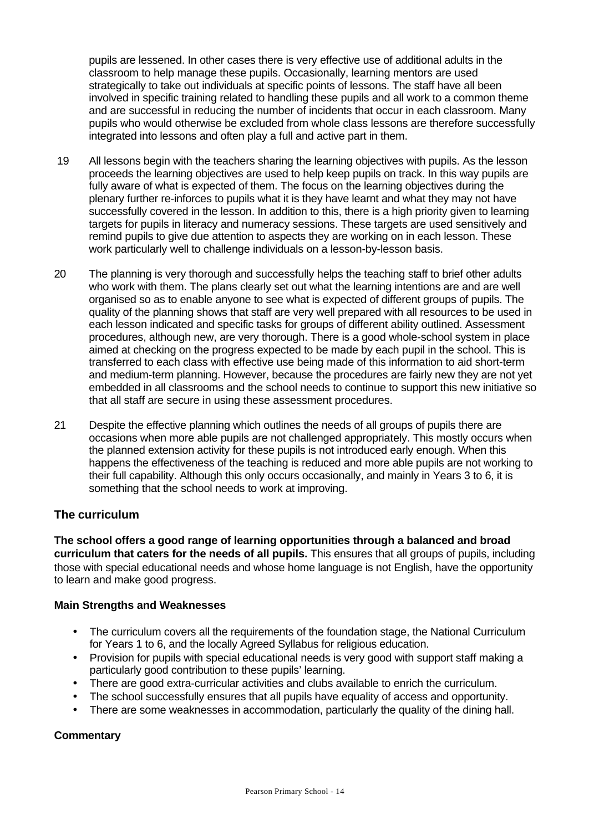pupils are lessened. In other cases there is very effective use of additional adults in the classroom to help manage these pupils. Occasionally, learning mentors are used strategically to take out individuals at specific points of lessons. The staff have all been involved in specific training related to handling these pupils and all work to a common theme and are successful in reducing the number of incidents that occur in each classroom. Many pupils who would otherwise be excluded from whole class lessons are therefore successfully integrated into lessons and often play a full and active part in them.

- 19 All lessons begin with the teachers sharing the learning objectives with pupils. As the lesson proceeds the learning objectives are used to help keep pupils on track. In this way pupils are fully aware of what is expected of them. The focus on the learning objectives during the plenary further re-inforces to pupils what it is they have learnt and what they may not have successfully covered in the lesson. In addition to this, there is a high priority given to learning targets for pupils in literacy and numeracy sessions. These targets are used sensitively and remind pupils to give due attention to aspects they are working on in each lesson. These work particularly well to challenge individuals on a lesson-by-lesson basis.
- 20 The planning is very thorough and successfully helps the teaching staff to brief other adults who work with them. The plans clearly set out what the learning intentions are and are well organised so as to enable anyone to see what is expected of different groups of pupils. The quality of the planning shows that staff are very well prepared with all resources to be used in each lesson indicated and specific tasks for groups of different ability outlined. Assessment procedures, although new, are very thorough. There is a good whole-school system in place aimed at checking on the progress expected to be made by each pupil in the school. This is transferred to each class with effective use being made of this information to aid short-term and medium-term planning. However, because the procedures are fairly new they are not yet embedded in all classrooms and the school needs to continue to support this new initiative so that all staff are secure in using these assessment procedures.
- 21 Despite the effective planning which outlines the needs of all groups of pupils there are occasions when more able pupils are not challenged appropriately. This mostly occurs when the planned extension activity for these pupils is not introduced early enough. When this happens the effectiveness of the teaching is reduced and more able pupils are not working to their full capability. Although this only occurs occasionally, and mainly in Years 3 to 6, it is something that the school needs to work at improving.

### **The curriculum**

**The school offers a good range of learning opportunities through a balanced and broad curriculum that caters for the needs of all pupils.** This ensures that all groups of pupils, including those with special educational needs and whose home language is not English, have the opportunity to learn and make good progress.

#### **Main Strengths and Weaknesses**

- The curriculum covers all the requirements of the foundation stage, the National Curriculum for Years 1 to 6, and the locally Agreed Syllabus for religious education.
- Provision for pupils with special educational needs is very good with support staff making a particularly good contribution to these pupils' learning.
- There are good extra-curricular activities and clubs available to enrich the curriculum.
- The school successfully ensures that all pupils have equality of access and opportunity.
- There are some weaknesses in accommodation, particularly the quality of the dining hall.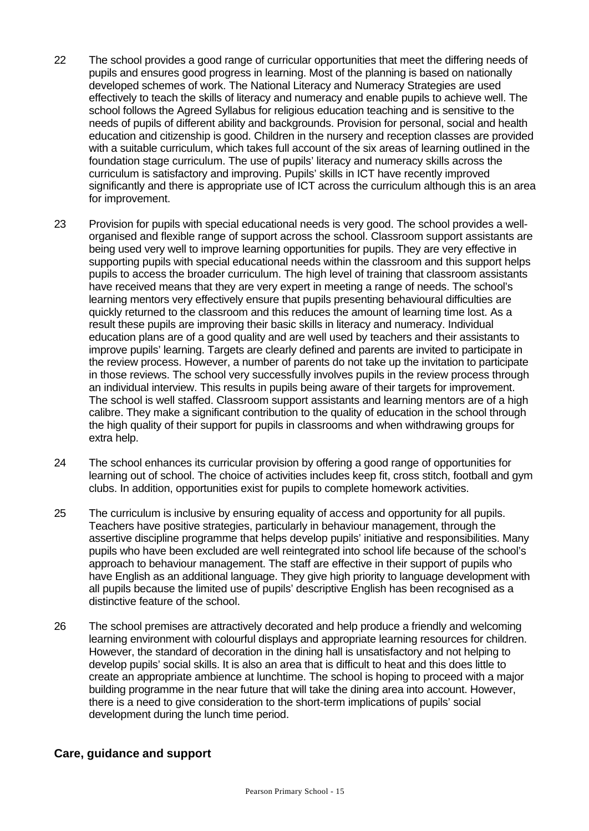- 22 The school provides a good range of curricular opportunities that meet the differing needs of pupils and ensures good progress in learning. Most of the planning is based on nationally developed schemes of work. The National Literacy and Numeracy Strategies are used effectively to teach the skills of literacy and numeracy and enable pupils to achieve well. The school follows the Agreed Syllabus for religious education teaching and is sensitive to the needs of pupils of different ability and backgrounds. Provision for personal, social and health education and citizenship is good. Children in the nursery and reception classes are provided with a suitable curriculum, which takes full account of the six areas of learning outlined in the foundation stage curriculum. The use of pupils' literacy and numeracy skills across the curriculum is satisfactory and improving. Pupils' skills in ICT have recently improved significantly and there is appropriate use of ICT across the curriculum although this is an area for improvement.
- 23 Provision for pupils with special educational needs is very good. The school provides a wellorganised and flexible range of support across the school. Classroom support assistants are being used very well to improve learning opportunities for pupils. They are very effective in supporting pupils with special educational needs within the classroom and this support helps pupils to access the broader curriculum. The high level of training that classroom assistants have received means that they are very expert in meeting a range of needs. The school's learning mentors very effectively ensure that pupils presenting behavioural difficulties are quickly returned to the classroom and this reduces the amount of learning time lost. As a result these pupils are improving their basic skills in literacy and numeracy. Individual education plans are of a good quality and are well used by teachers and their assistants to improve pupils' learning. Targets are clearly defined and parents are invited to participate in the review process. However, a number of parents do not take up the invitation to participate in those reviews. The school very successfully involves pupils in the review process through an individual interview. This results in pupils being aware of their targets for improvement. The school is well staffed. Classroom support assistants and learning mentors are of a high calibre. They make a significant contribution to the quality of education in the school through the high quality of their support for pupils in classrooms and when withdrawing groups for extra help.
- 24 The school enhances its curricular provision by offering a good range of opportunities for learning out of school. The choice of activities includes keep fit, cross stitch, football and gym clubs. In addition, opportunities exist for pupils to complete homework activities.
- 25 The curriculum is inclusive by ensuring equality of access and opportunity for all pupils. Teachers have positive strategies, particularly in behaviour management, through the assertive discipline programme that helps develop pupils' initiative and responsibilities. Many pupils who have been excluded are well reintegrated into school life because of the school's approach to behaviour management. The staff are effective in their support of pupils who have English as an additional language. They give high priority to language development with all pupils because the limited use of pupils' descriptive English has been recognised as a distinctive feature of the school.
- 26 The school premises are attractively decorated and help produce a friendly and welcoming learning environment with colourful displays and appropriate learning resources for children. However, the standard of decoration in the dining hall is unsatisfactory and not helping to develop pupils' social skills. It is also an area that is difficult to heat and this does little to create an appropriate ambience at lunchtime. The school is hoping to proceed with a major building programme in the near future that will take the dining area into account. However, there is a need to give consideration to the short-term implications of pupils' social development during the lunch time period.

#### **Care, guidance and support**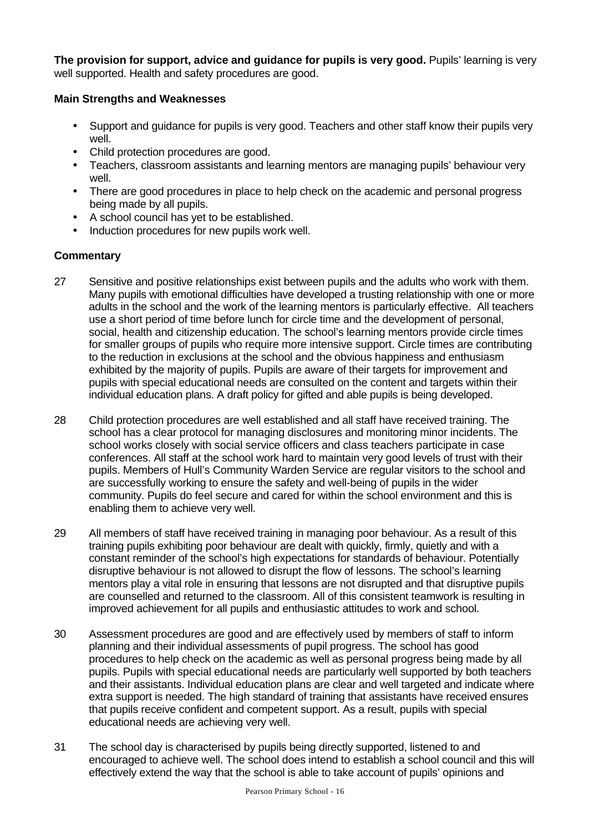**The provision for support, advice and guidance for pupils is very good.** Pupils' learning is very well supported. Health and safety procedures are good.

#### **Main Strengths and Weaknesses**

- Support and guidance for pupils is very good. Teachers and other staff know their pupils very well.
- Child protection procedures are good.
- Teachers, classroom assistants and learning mentors are managing pupils' behaviour very well.
- There are good procedures in place to help check on the academic and personal progress being made by all pupils.
- A school council has yet to be established.
- Induction procedures for new pupils work well.

- 27 Sensitive and positive relationships exist between pupils and the adults who work with them. Many pupils with emotional difficulties have developed a trusting relationship with one or more adults in the school and the work of the learning mentors is particularly effective. All teachers use a short period of time before lunch for circle time and the development of personal, social, health and citizenship education. The school's learning mentors provide circle times for smaller groups of pupils who require more intensive support. Circle times are contributing to the reduction in exclusions at the school and the obvious happiness and enthusiasm exhibited by the majority of pupils. Pupils are aware of their targets for improvement and pupils with special educational needs are consulted on the content and targets within their individual education plans. A draft policy for gifted and able pupils is being developed.
- 28 Child protection procedures are well established and all staff have received training. The school has a clear protocol for managing disclosures and monitoring minor incidents. The school works closely with social service officers and class teachers participate in case conferences. All staff at the school work hard to maintain very good levels of trust with their pupils. Members of Hull's Community Warden Service are regular visitors to the school and are successfully working to ensure the safety and well-being of pupils in the wider community. Pupils do feel secure and cared for within the school environment and this is enabling them to achieve very well.
- 29 All members of staff have received training in managing poor behaviour. As a result of this training pupils exhibiting poor behaviour are dealt with quickly, firmly, quietly and with a constant reminder of the school's high expectations for standards of behaviour. Potentially disruptive behaviour is not allowed to disrupt the flow of lessons. The school's learning mentors play a vital role in ensuring that lessons are not disrupted and that disruptive pupils are counselled and returned to the classroom. All of this consistent teamwork is resulting in improved achievement for all pupils and enthusiastic attitudes to work and school.
- 30 Assessment procedures are good and are effectively used by members of staff to inform planning and their individual assessments of pupil progress. The school has good procedures to help check on the academic as well as personal progress being made by all pupils. Pupils with special educational needs are particularly well supported by both teachers and their assistants. Individual education plans are clear and well targeted and indicate where extra support is needed. The high standard of training that assistants have received ensures that pupils receive confident and competent support. As a result, pupils with special educational needs are achieving very well.
- 31 The school day is characterised by pupils being directly supported, listened to and encouraged to achieve well. The school does intend to establish a school council and this will effectively extend the way that the school is able to take account of pupils' opinions and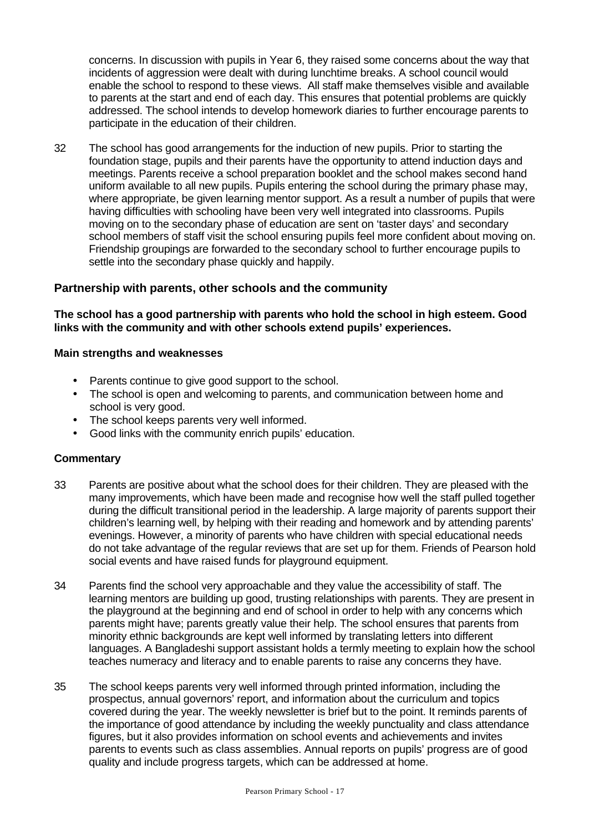concerns. In discussion with pupils in Year 6, they raised some concerns about the way that incidents of aggression were dealt with during lunchtime breaks. A school council would enable the school to respond to these views. All staff make themselves visible and available to parents at the start and end of each day. This ensures that potential problems are quickly addressed. The school intends to develop homework diaries to further encourage parents to participate in the education of their children.

32 The school has good arrangements for the induction of new pupils. Prior to starting the foundation stage, pupils and their parents have the opportunity to attend induction days and meetings. Parents receive a school preparation booklet and the school makes second hand uniform available to all new pupils. Pupils entering the school during the primary phase may, where appropriate, be given learning mentor support. As a result a number of pupils that were having difficulties with schooling have been very well integrated into classrooms. Pupils moving on to the secondary phase of education are sent on 'taster days' and secondary school members of staff visit the school ensuring pupils feel more confident about moving on. Friendship groupings are forwarded to the secondary school to further encourage pupils to settle into the secondary phase quickly and happily.

### **Partnership with parents, other schools and the community**

**The school has a good partnership with parents who hold the school in high esteem. Good links with the community and with other schools extend pupils' experiences.**

#### **Main strengths and weaknesses**

- Parents continue to give good support to the school.
- The school is open and welcoming to parents, and communication between home and school is very good.
- The school keeps parents very well informed.
- Good links with the community enrich pupils' education.

- 33 Parents are positive about what the school does for their children. They are pleased with the many improvements, which have been made and recognise how well the staff pulled together during the difficult transitional period in the leadership. A large majority of parents support their children's learning well, by helping with their reading and homework and by attending parents' evenings. However, a minority of parents who have children with special educational needs do not take advantage of the regular reviews that are set up for them. Friends of Pearson hold social events and have raised funds for playground equipment.
- 34 Parents find the school very approachable and they value the accessibility of staff. The learning mentors are building up good, trusting relationships with parents. They are present in the playground at the beginning and end of school in order to help with any concerns which parents might have; parents greatly value their help. The school ensures that parents from minority ethnic backgrounds are kept well informed by translating letters into different languages. A Bangladeshi support assistant holds a termly meeting to explain how the school teaches numeracy and literacy and to enable parents to raise any concerns they have.
- 35 The school keeps parents very well informed through printed information, including the prospectus, annual governors' report, and information about the curriculum and topics covered during the year. The weekly newsletter is brief but to the point. It reminds parents of the importance of good attendance by including the weekly punctuality and class attendance figures, but it also provides information on school events and achievements and invites parents to events such as class assemblies. Annual reports on pupils' progress are of good quality and include progress targets, which can be addressed at home.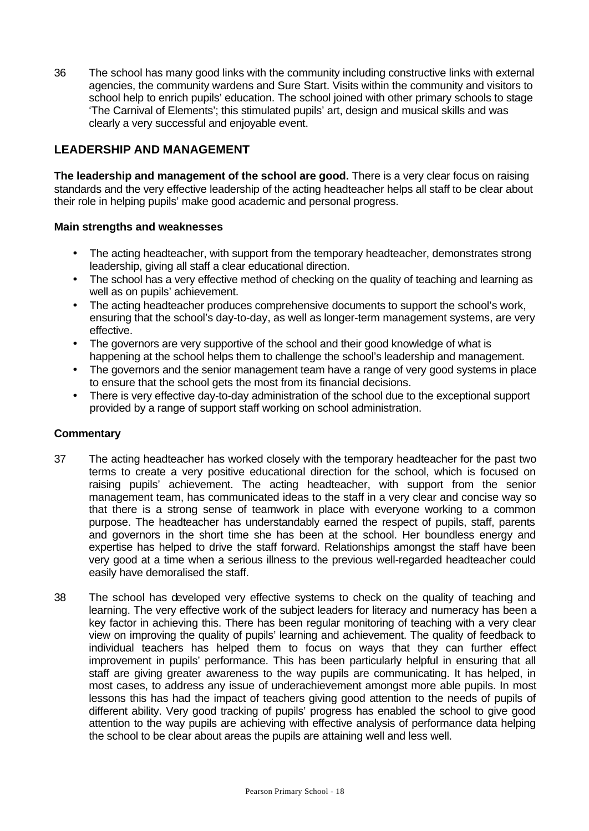36 The school has many good links with the community including constructive links with external agencies, the community wardens and Sure Start. Visits within the community and visitors to school help to enrich pupils' education. The school joined with other primary schools to stage 'The Carnival of Elements'; this stimulated pupils' art, design and musical skills and was clearly a very successful and enjoyable event.

### **LEADERSHIP AND MANAGEMENT**

**The leadership and management of the school are good.** There is a very clear focus on raising standards and the very effective leadership of the acting headteacher helps all staff to be clear about their role in helping pupils' make good academic and personal progress.

#### **Main strengths and weaknesses**

- The acting headteacher, with support from the temporary headteacher, demonstrates strong leadership, giving all staff a clear educational direction.
- The school has a very effective method of checking on the quality of teaching and learning as well as on pupils' achievement.
- The acting headteacher produces comprehensive documents to support the school's work, ensuring that the school's day-to-day, as well as longer-term management systems, are very effective.
- The governors are very supportive of the school and their good knowledge of what is happening at the school helps them to challenge the school's leadership and management.
- The governors and the senior management team have a range of very good systems in place to ensure that the school gets the most from its financial decisions.
- There is very effective day-to-day administration of the school due to the exceptional support provided by a range of support staff working on school administration.

- 37 The acting headteacher has worked closely with the temporary headteacher for the past two terms to create a very positive educational direction for the school, which is focused on raising pupils' achievement. The acting headteacher, with support from the senior management team, has communicated ideas to the staff in a very clear and concise way so that there is a strong sense of teamwork in place with everyone working to a common purpose. The headteacher has understandably earned the respect of pupils, staff, parents and governors in the short time she has been at the school. Her boundless energy and expertise has helped to drive the staff forward. Relationships amongst the staff have been very good at a time when a serious illness to the previous well-regarded headteacher could easily have demoralised the staff.
- 38 The school has developed very effective systems to check on the quality of teaching and learning. The very effective work of the subject leaders for literacy and numeracy has been a key factor in achieving this. There has been regular monitoring of teaching with a very clear view on improving the quality of pupils' learning and achievement. The quality of feedback to individual teachers has helped them to focus on ways that they can further effect improvement in pupils' performance. This has been particularly helpful in ensuring that all staff are giving greater awareness to the way pupils are communicating. It has helped, in most cases, to address any issue of underachievement amongst more able pupils. In most lessons this has had the impact of teachers giving good attention to the needs of pupils of different ability. Very good tracking of pupils' progress has enabled the school to give good attention to the way pupils are achieving with effective analysis of performance data helping the school to be clear about areas the pupils are attaining well and less well.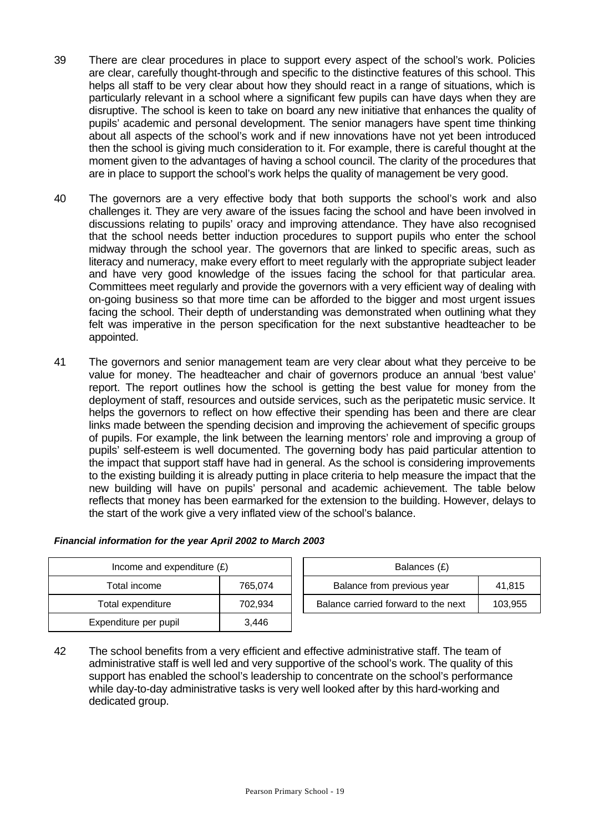- 39 There are clear procedures in place to support every aspect of the school's work. Policies are clear, carefully thought-through and specific to the distinctive features of this school. This helps all staff to be very clear about how they should react in a range of situations, which is particularly relevant in a school where a significant few pupils can have days when they are disruptive. The school is keen to take on board any new initiative that enhances the quality of pupils' academic and personal development. The senior managers have spent time thinking about all aspects of the school's work and if new innovations have not yet been introduced then the school is giving much consideration to it. For example, there is careful thought at the moment given to the advantages of having a school council. The clarity of the procedures that are in place to support the school's work helps the quality of management be very good.
- 40 The governors are a very effective body that both supports the school's work and also challenges it. They are very aware of the issues facing the school and have been involved in discussions relating to pupils' oracy and improving attendance. They have also recognised that the school needs better induction procedures to support pupils who enter the school midway through the school year. The governors that are linked to specific areas, such as literacy and numeracy, make every effort to meet regularly with the appropriate subject leader and have very good knowledge of the issues facing the school for that particular area. Committees meet regularly and provide the governors with a very efficient way of dealing with on-going business so that more time can be afforded to the bigger and most urgent issues facing the school. Their depth of understanding was demonstrated when outlining what they felt was imperative in the person specification for the next substantive headteacher to be appointed.
- 41 The governors and senior management team are very clear about what they perceive to be value for money. The headteacher and chair of governors produce an annual 'best value' report. The report outlines how the school is getting the best value for money from the deployment of staff, resources and outside services, such as the peripatetic music service. It helps the governors to reflect on how effective their spending has been and there are clear links made between the spending decision and improving the achievement of specific groups of pupils. For example, the link between the learning mentors' role and improving a group of pupils' self-esteem is well documented. The governing body has paid particular attention to the impact that support staff have had in general. As the school is considering improvements to the existing building it is already putting in place criteria to help measure the impact that the new building will have on pupils' personal and academic achievement. The table below reflects that money has been earmarked for the extension to the building. However, delays to the start of the work give a very inflated view of the school's balance.

| Income and expenditure $(E)$ |         | Balances (£)                                   |
|------------------------------|---------|------------------------------------------------|
| Total income                 | 765,074 | Balance from previous year<br>41,815           |
| Total expenditure            | 702,934 | Balance carried forward to the next<br>103,955 |
| Expenditure per pupil        | 3,446   |                                                |

|  |  | Financial information for the year April 2002 to March 2003 |
|--|--|-------------------------------------------------------------|
|  |  |                                                             |

42 The school benefits from a very efficient and effective administrative staff. The team of administrative staff is well led and very supportive of the school's work. The quality of this support has enabled the school's leadership to concentrate on the school's performance while day-to-day administrative tasks is very well looked after by this hard-working and dedicated group.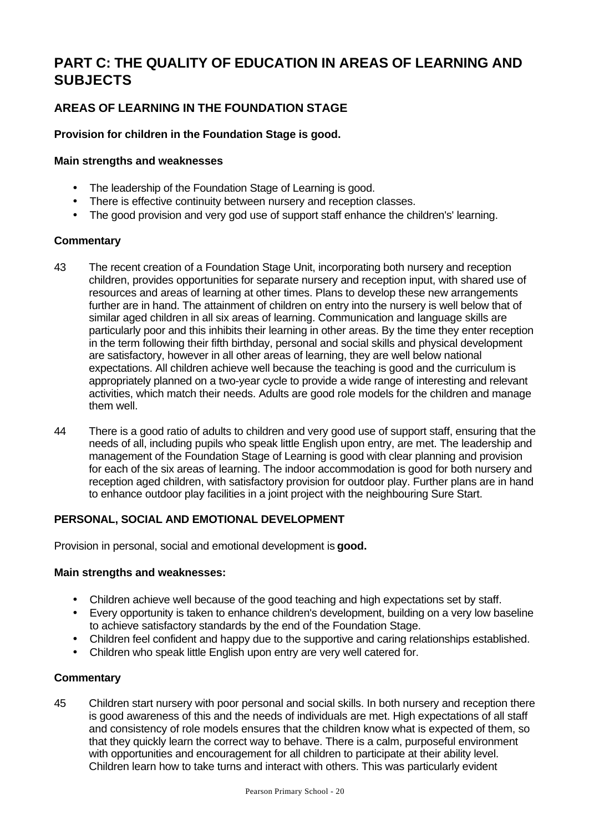# **PART C: THE QUALITY OF EDUCATION IN AREAS OF LEARNING AND SUBJECTS**

### **AREAS OF LEARNING IN THE FOUNDATION STAGE**

### **Provision for children in the Foundation Stage is good.**

#### **Main strengths and weaknesses**

- The leadership of the Foundation Stage of Learning is good.
- There is effective continuity between nursery and reception classes.
- The good provision and very god use of support staff enhance the children's' learning.

### **Commentary**

- 43 The recent creation of a Foundation Stage Unit, incorporating both nursery and reception children, provides opportunities for separate nursery and reception input, with shared use of resources and areas of learning at other times. Plans to develop these new arrangements further are in hand. The attainment of children on entry into the nursery is well below that of similar aged children in all six areas of learning. Communication and language skills are particularly poor and this inhibits their learning in other areas. By the time they enter reception in the term following their fifth birthday, personal and social skills and physical development are satisfactory, however in all other areas of learning, they are well below national expectations. All children achieve well because the teaching is good and the curriculum is appropriately planned on a two-year cycle to provide a wide range of interesting and relevant activities, which match their needs. Adults are good role models for the children and manage them well.
- 44 There is a good ratio of adults to children and very good use of support staff, ensuring that the needs of all, including pupils who speak little English upon entry, are met. The leadership and management of the Foundation Stage of Learning is good with clear planning and provision for each of the six areas of learning. The indoor accommodation is good for both nursery and reception aged children, with satisfactory provision for outdoor play. Further plans are in hand to enhance outdoor play facilities in a joint project with the neighbouring Sure Start.

### **PERSONAL, SOCIAL AND EMOTIONAL DEVELOPMENT**

Provision in personal, social and emotional development is **good.**

#### **Main strengths and weaknesses:**

- Children achieve well because of the good teaching and high expectations set by staff.
- Every opportunity is taken to enhance children's development, building on a very low baseline to achieve satisfactory standards by the end of the Foundation Stage.
- Children feel confident and happy due to the supportive and caring relationships established.
- Children who speak little English upon entry are very well catered for.

#### **Commentary**

45 Children start nursery with poor personal and social skills. In both nursery and reception there is good awareness of this and the needs of individuals are met. High expectations of all staff and consistency of role models ensures that the children know what is expected of them, so that they quickly learn the correct way to behave. There is a calm, purposeful environment with opportunities and encouragement for all children to participate at their ability level. Children learn how to take turns and interact with others. This was particularly evident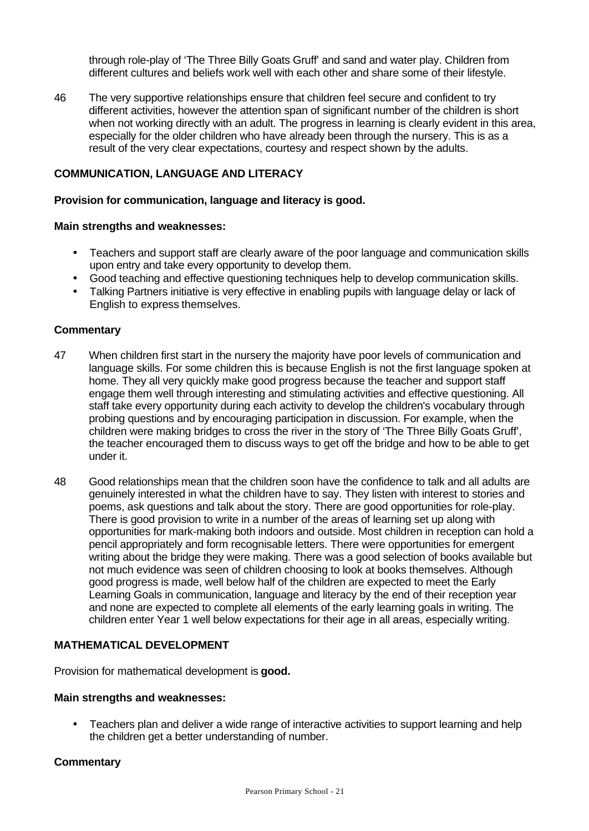through role-play of 'The Three Billy Goats Gruff' and sand and water play. Children from different cultures and beliefs work well with each other and share some of their lifestyle.

46 The very supportive relationships ensure that children feel secure and confident to try different activities, however the attention span of significant number of the children is short when not working directly with an adult. The progress in learning is clearly evident in this area, especially for the older children who have already been through the nursery. This is as a result of the very clear expectations, courtesy and respect shown by the adults.

#### **COMMUNICATION, LANGUAGE AND LITERACY**

#### **Provision for communication, language and literacy is good.**

#### **Main strengths and weaknesses:**

- Teachers and support staff are clearly aware of the poor language and communication skills upon entry and take every opportunity to develop them.
- Good teaching and effective questioning techniques help to develop communication skills.
- Talking Partners initiative is very effective in enabling pupils with language delay or lack of English to express themselves.

#### **Commentary**

- 47 When children first start in the nursery the majority have poor levels of communication and language skills. For some children this is because English is not the first language spoken at home. They all very quickly make good progress because the teacher and support staff engage them well through interesting and stimulating activities and effective questioning. All staff take every opportunity during each activity to develop the children's vocabulary through probing questions and by encouraging participation in discussion. For example, when the children were making bridges to cross the river in the story of 'The Three Billy Goats Gruff', the teacher encouraged them to discuss ways to get off the bridge and how to be able to get under it.
- 48 Good relationships mean that the children soon have the confidence to talk and all adults are genuinely interested in what the children have to say. They listen with interest to stories and poems, ask questions and talk about the story. There are good opportunities for role-play. There is good provision to write in a number of the areas of learning set up along with opportunities for mark-making both indoors and outside. Most children in reception can hold a pencil appropriately and form recognisable letters. There were opportunities for emergent writing about the bridge they were making. There was a good selection of books available but not much evidence was seen of children choosing to look at books themselves. Although good progress is made, well below half of the children are expected to meet the Early Learning Goals in communication, language and literacy by the end of their reception year and none are expected to complete all elements of the early learning goals in writing. The children enter Year 1 well below expectations for their age in all areas, especially writing.

#### **MATHEMATICAL DEVELOPMENT**

Provision for mathematical development is **good.**

#### **Main strengths and weaknesses:**

• Teachers plan and deliver a wide range of interactive activities to support learning and help the children get a better understanding of number.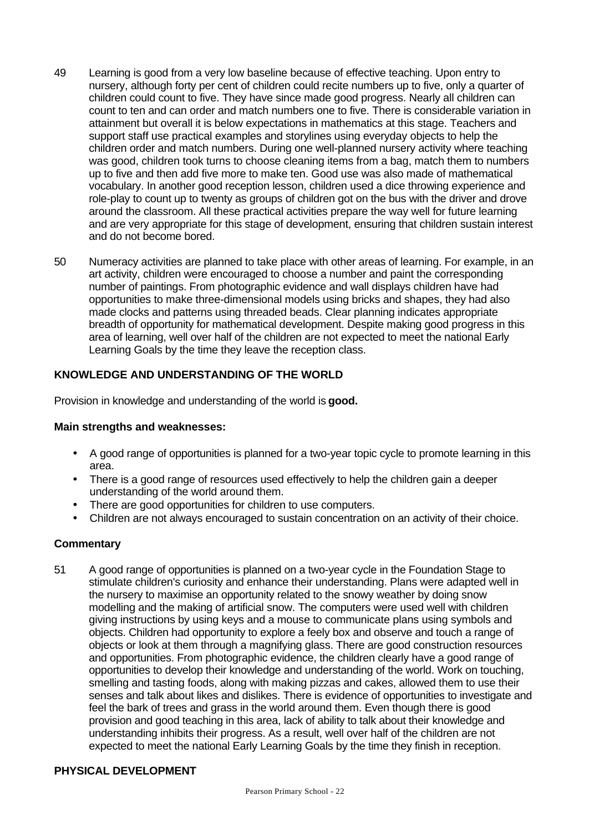- 49 Learning is good from a very low baseline because of effective teaching. Upon entry to nursery, although forty per cent of children could recite numbers up to five, only a quarter of children could count to five. They have since made good progress. Nearly all children can count to ten and can order and match numbers one to five. There is considerable variation in attainment but overall it is below expectations in mathematics at this stage. Teachers and support staff use practical examples and storylines using everyday objects to help the children order and match numbers. During one well-planned nursery activity where teaching was good, children took turns to choose cleaning items from a bag, match them to numbers up to five and then add five more to make ten. Good use was also made of mathematical vocabulary. In another good reception lesson, children used a dice throwing experience and role-play to count up to twenty as groups of children got on the bus with the driver and drove around the classroom. All these practical activities prepare the way well for future learning and are very appropriate for this stage of development, ensuring that children sustain interest and do not become bored.
- 50 Numeracy activities are planned to take place with other areas of learning. For example, in an art activity, children were encouraged to choose a number and paint the corresponding number of paintings. From photographic evidence and wall displays children have had opportunities to make three-dimensional models using bricks and shapes, they had also made clocks and patterns using threaded beads. Clear planning indicates appropriate breadth of opportunity for mathematical development. Despite making good progress in this area of learning, well over half of the children are not expected to meet the national Early Learning Goals by the time they leave the reception class.

### **KNOWLEDGE AND UNDERSTANDING OF THE WORLD**

Provision in knowledge and understanding of the world is **good.**

#### **Main strengths and weaknesses:**

- A good range of opportunities is planned for a two-year topic cycle to promote learning in this area.
- There is a good range of resources used effectively to help the children gain a deeper understanding of the world around them.
- There are good opportunities for children to use computers.
- Children are not always encouraged to sustain concentration on an activity of their choice.

#### **Commentary**

51 A good range of opportunities is planned on a two-year cycle in the Foundation Stage to stimulate children's curiosity and enhance their understanding. Plans were adapted well in the nursery to maximise an opportunity related to the snowy weather by doing snow modelling and the making of artificial snow. The computers were used well with children giving instructions by using keys and a mouse to communicate plans using symbols and objects. Children had opportunity to explore a feely box and observe and touch a range of objects or look at them through a magnifying glass. There are good construction resources and opportunities. From photographic evidence, the children clearly have a good range of opportunities to develop their knowledge and understanding of the world. Work on touching, smelling and tasting foods, along with making pizzas and cakes, allowed them to use their senses and talk about likes and dislikes. There is evidence of opportunities to investigate and feel the bark of trees and grass in the world around them. Even though there is good provision and good teaching in this area, lack of ability to talk about their knowledge and understanding inhibits their progress. As a result, well over half of the children are not expected to meet the national Early Learning Goals by the time they finish in reception.

#### **PHYSICAL DEVELOPMENT**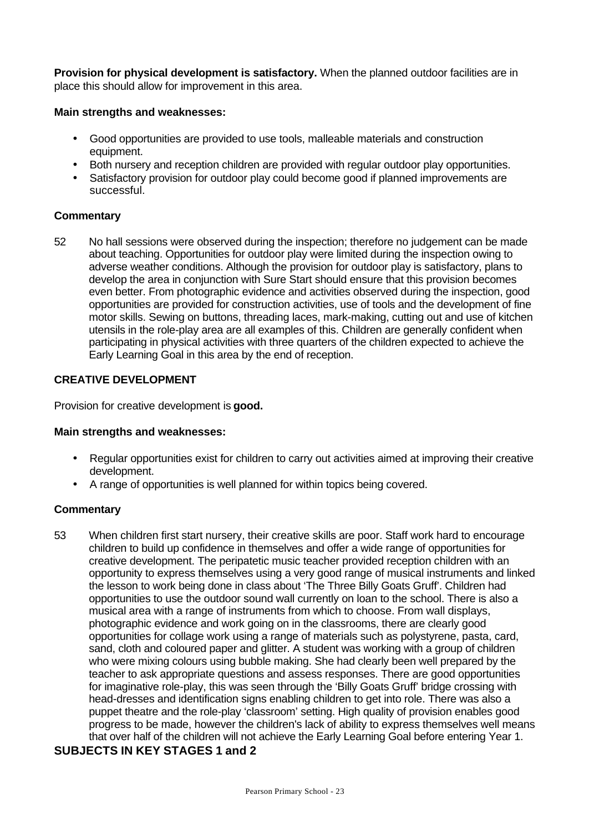**Provision for physical development is satisfactory.** When the planned outdoor facilities are in place this should allow for improvement in this area.

#### **Main strengths and weaknesses:**

- Good opportunities are provided to use tools, malleable materials and construction equipment.
- Both nursery and reception children are provided with regular outdoor play opportunities.
- Satisfactory provision for outdoor play could become good if planned improvements are successful.

#### **Commentary**

52 No hall sessions were observed during the inspection; therefore no judgement can be made about teaching. Opportunities for outdoor play were limited during the inspection owing to adverse weather conditions. Although the provision for outdoor play is satisfactory, plans to develop the area in conjunction with Sure Start should ensure that this provision becomes even better. From photographic evidence and activities observed during the inspection, good opportunities are provided for construction activities, use of tools and the development of fine motor skills. Sewing on buttons, threading laces, mark-making, cutting out and use of kitchen utensils in the role-play area are all examples of this. Children are generally confident when participating in physical activities with three quarters of the children expected to achieve the Early Learning Goal in this area by the end of reception.

#### **CREATIVE DEVELOPMENT**

Provision for creative development is **good.**

#### **Main strengths and weaknesses:**

- Regular opportunities exist for children to carry out activities aimed at improving their creative development.
- A range of opportunities is well planned for within topics being covered.

#### **Commentary**

53 When children first start nursery, their creative skills are poor. Staff work hard to encourage children to build up confidence in themselves and offer a wide range of opportunities for creative development. The peripatetic music teacher provided reception children with an opportunity to express themselves using a very good range of musical instruments and linked the lesson to work being done in class about 'The Three Billy Goats Gruff'. Children had opportunities to use the outdoor sound wall currently on loan to the school. There is also a musical area with a range of instruments from which to choose. From wall displays, photographic evidence and work going on in the classrooms, there are clearly good opportunities for collage work using a range of materials such as polystyrene, pasta, card, sand, cloth and coloured paper and glitter. A student was working with a group of children who were mixing colours using bubble making. She had clearly been well prepared by the teacher to ask appropriate questions and assess responses. There are good opportunities for imaginative role-play, this was seen through the 'Billy Goats Gruff' bridge crossing with head-dresses and identification signs enabling children to get into role. There was also a puppet theatre and the role-play 'classroom' setting. High quality of provision enables good progress to be made, however the children's lack of ability to express themselves well means that over half of the children will not achieve the Early Learning Goal before entering Year 1.

### **SUBJECTS IN KEY STAGES 1 and 2**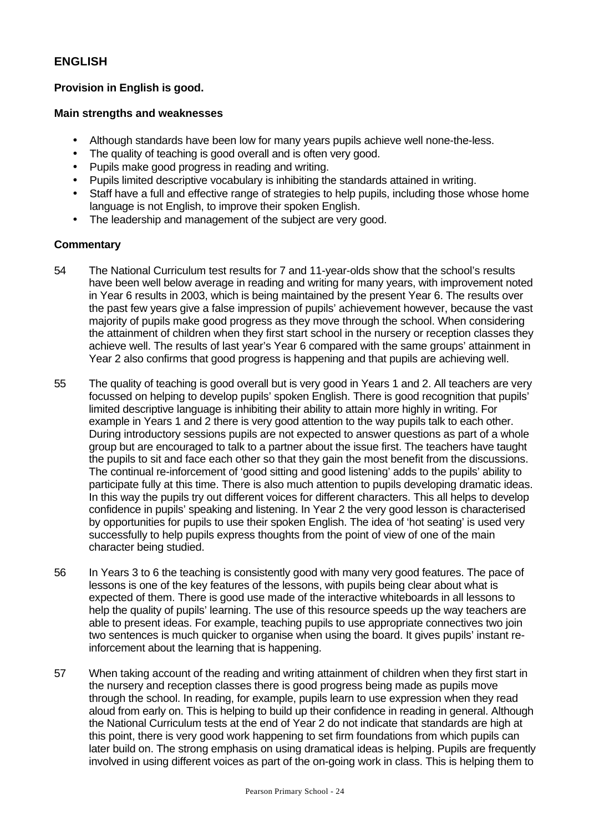### **ENGLISH**

### **Provision in English is good.**

#### **Main strengths and weaknesses**

- Although standards have been low for many years pupils achieve well none-the-less.
- The quality of teaching is good overall and is often very good.
- Pupils make good progress in reading and writing.
- Pupils limited descriptive vocabulary is inhibiting the standards attained in writing.
- Staff have a full and effective range of strategies to help pupils, including those whose home language is not English, to improve their spoken English.
- The leadership and management of the subject are very good.

- 54 The National Curriculum test results for 7 and 11-year-olds show that the school's results have been well below average in reading and writing for many years, with improvement noted in Year 6 results in 2003, which is being maintained by the present Year 6. The results over the past few years give a false impression of pupils' achievement however, because the vast majority of pupils make good progress as they move through the school. When considering the attainment of children when they first start school in the nursery or reception classes they achieve well. The results of last year's Year 6 compared with the same groups' attainment in Year 2 also confirms that good progress is happening and that pupils are achieving well.
- 55 The quality of teaching is good overall but is very good in Years 1 and 2. All teachers are very focussed on helping to develop pupils' spoken English. There is good recognition that pupils' limited descriptive language is inhibiting their ability to attain more highly in writing. For example in Years 1 and 2 there is very good attention to the way pupils talk to each other. During introductory sessions pupils are not expected to answer questions as part of a whole group but are encouraged to talk to a partner about the issue first. The teachers have taught the pupils to sit and face each other so that they gain the most benefit from the discussions. The continual re-inforcement of 'good sitting and good listening' adds to the pupils' ability to participate fully at this time. There is also much attention to pupils developing dramatic ideas. In this way the pupils try out different voices for different characters. This all helps to develop confidence in pupils' speaking and listening. In Year 2 the very good lesson is characterised by opportunities for pupils to use their spoken English. The idea of 'hot seating' is used very successfully to help pupils express thoughts from the point of view of one of the main character being studied.
- 56 In Years 3 to 6 the teaching is consistently good with many very good features. The pace of lessons is one of the key features of the lessons, with pupils being clear about what is expected of them. There is good use made of the interactive whiteboards in all lessons to help the quality of pupils' learning. The use of this resource speeds up the way teachers are able to present ideas. For example, teaching pupils to use appropriate connectives two join two sentences is much quicker to organise when using the board. It gives pupils' instant reinforcement about the learning that is happening.
- 57 When taking account of the reading and writing attainment of children when they first start in the nursery and reception classes there is good progress being made as pupils move through the school. In reading, for example, pupils learn to use expression when they read aloud from early on. This is helping to build up their confidence in reading in general. Although the National Curriculum tests at the end of Year 2 do not indicate that standards are high at this point, there is very good work happening to set firm foundations from which pupils can later build on. The strong emphasis on using dramatical ideas is helping. Pupils are frequently involved in using different voices as part of the on-going work in class. This is helping them to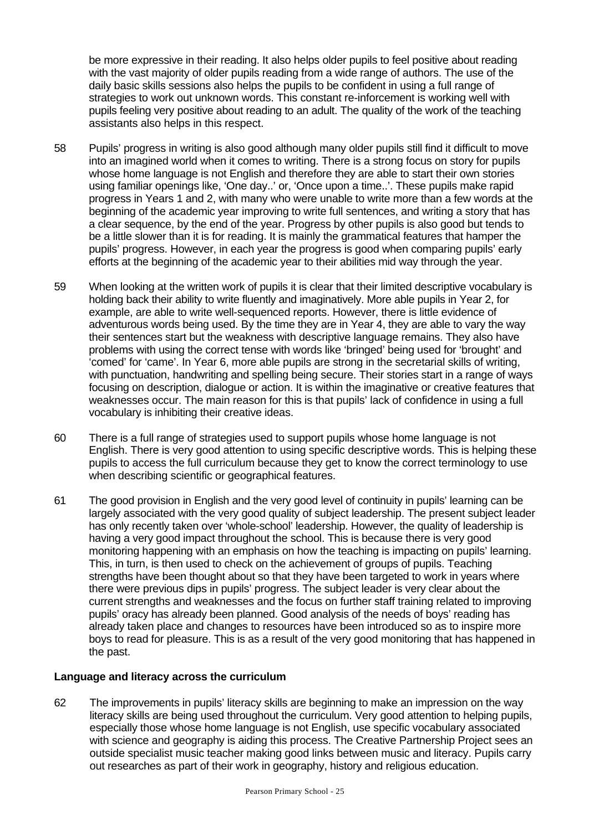be more expressive in their reading. It also helps older pupils to feel positive about reading with the vast majority of older pupils reading from a wide range of authors. The use of the daily basic skills sessions also helps the pupils to be confident in using a full range of strategies to work out unknown words. This constant re-inforcement is working well with pupils feeling very positive about reading to an adult. The quality of the work of the teaching assistants also helps in this respect.

- 58 Pupils' progress in writing is also good although many older pupils still find it difficult to move into an imagined world when it comes to writing. There is a strong focus on story for pupils whose home language is not English and therefore they are able to start their own stories using familiar openings like, 'One day..' or, 'Once upon a time..'. These pupils make rapid progress in Years 1 and 2, with many who were unable to write more than a few words at the beginning of the academic year improving to write full sentences, and writing a story that has a clear sequence, by the end of the year. Progress by other pupils is also good but tends to be a little slower than it is for reading. It is mainly the grammatical features that hamper the pupils' progress. However, in each year the progress is good when comparing pupils' early efforts at the beginning of the academic year to their abilities mid way through the year.
- 59 When looking at the written work of pupils it is clear that their limited descriptive vocabulary is holding back their ability to write fluently and imaginatively. More able pupils in Year 2, for example, are able to write well-sequenced reports. However, there is little evidence of adventurous words being used. By the time they are in Year 4, they are able to vary the way their sentences start but the weakness with descriptive language remains. They also have problems with using the correct tense with words like 'bringed' being used for 'brought' and 'comed' for 'came'. In Year 6, more able pupils are strong in the secretarial skills of writing, with punctuation, handwriting and spelling being secure. Their stories start in a range of ways focusing on description, dialogue or action. It is within the imaginative or creative features that weaknesses occur. The main reason for this is that pupils' lack of confidence in using a full vocabulary is inhibiting their creative ideas.
- 60 There is a full range of strategies used to support pupils whose home language is not English. There is very good attention to using specific descriptive words. This is helping these pupils to access the full curriculum because they get to know the correct terminology to use when describing scientific or geographical features.
- 61 The good provision in English and the very good level of continuity in pupils' learning can be largely associated with the very good quality of subject leadership. The present subject leader has only recently taken over 'whole-school' leadership. However, the quality of leadership is having a very good impact throughout the school. This is because there is very good monitoring happening with an emphasis on how the teaching is impacting on pupils' learning. This, in turn, is then used to check on the achievement of groups of pupils. Teaching strengths have been thought about so that they have been targeted to work in years where there were previous dips in pupils' progress. The subject leader is very clear about the current strengths and weaknesses and the focus on further staff training related to improving pupils' oracy has already been planned. Good analysis of the needs of boys' reading has already taken place and changes to resources have been introduced so as to inspire more boys to read for pleasure. This is as a result of the very good monitoring that has happened in the past.

#### **Language and literacy across the curriculum**

62 The improvements in pupils' literacy skills are beginning to make an impression on the way literacy skills are being used throughout the curriculum. Very good attention to helping pupils, especially those whose home language is not English, use specific vocabulary associated with science and geography is aiding this process. The Creative Partnership Project sees an outside specialist music teacher making good links between music and literacy. Pupils carry out researches as part of their work in geography, history and religious education.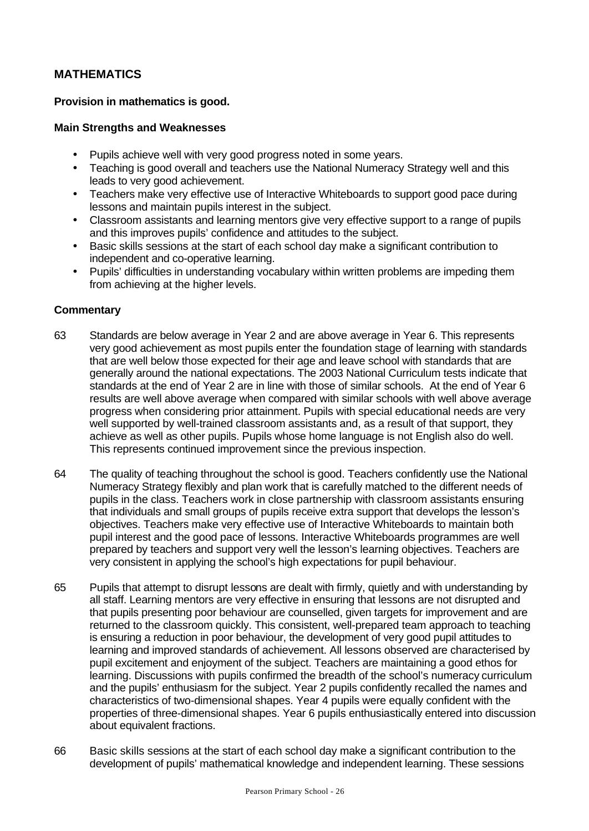### **MATHEMATICS**

#### **Provision in mathematics is good.**

#### **Main Strengths and Weaknesses**

- Pupils achieve well with very good progress noted in some years.
- Teaching is good overall and teachers use the National Numeracy Strategy well and this leads to very good achievement.
- Teachers make very effective use of Interactive Whiteboards to support good pace during lessons and maintain pupils interest in the subject.
- Classroom assistants and learning mentors give very effective support to a range of pupils and this improves pupils' confidence and attitudes to the subject.
- Basic skills sessions at the start of each school day make a significant contribution to independent and co-operative learning.
- Pupils' difficulties in understanding vocabulary within written problems are impeding them from achieving at the higher levels.

- 63 Standards are below average in Year 2 and are above average in Year 6. This represents very good achievement as most pupils enter the foundation stage of learning with standards that are well below those expected for their age and leave school with standards that are generally around the national expectations. The 2003 National Curriculum tests indicate that standards at the end of Year 2 are in line with those of similar schools. At the end of Year 6 results are well above average when compared with similar schools with well above average progress when considering prior attainment. Pupils with special educational needs are very well supported by well-trained classroom assistants and, as a result of that support, they achieve as well as other pupils. Pupils whose home language is not English also do well. This represents continued improvement since the previous inspection.
- 64 The quality of teaching throughout the school is good. Teachers confidently use the National Numeracy Strategy flexibly and plan work that is carefully matched to the different needs of pupils in the class. Teachers work in close partnership with classroom assistants ensuring that individuals and small groups of pupils receive extra support that develops the lesson's objectives. Teachers make very effective use of Interactive Whiteboards to maintain both pupil interest and the good pace of lessons. Interactive Whiteboards programmes are well prepared by teachers and support very well the lesson's learning objectives. Teachers are very consistent in applying the school's high expectations for pupil behaviour.
- 65 Pupils that attempt to disrupt lessons are dealt with firmly, quietly and with understanding by all staff. Learning mentors are very effective in ensuring that lessons are not disrupted and that pupils presenting poor behaviour are counselled, given targets for improvement and are returned to the classroom quickly. This consistent, well-prepared team approach to teaching is ensuring a reduction in poor behaviour, the development of very good pupil attitudes to learning and improved standards of achievement. All lessons observed are characterised by pupil excitement and enjoyment of the subject. Teachers are maintaining a good ethos for learning. Discussions with pupils confirmed the breadth of the school's numeracy curriculum and the pupils' enthusiasm for the subject. Year 2 pupils confidently recalled the names and characteristics of two-dimensional shapes. Year 4 pupils were equally confident with the properties of three-dimensional shapes. Year 6 pupils enthusiastically entered into discussion about equivalent fractions.
- 66 Basic skills sessions at the start of each school day make a significant contribution to the development of pupils' mathematical knowledge and independent learning. These sessions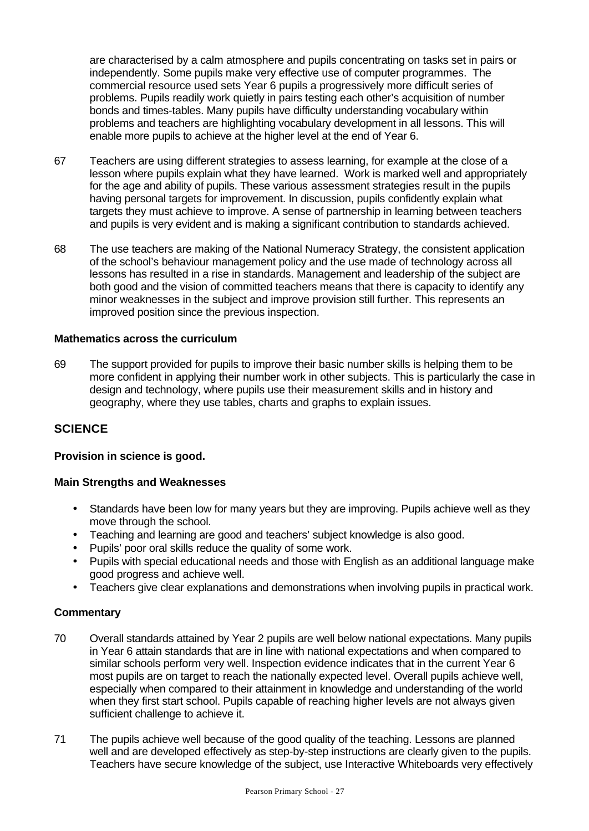are characterised by a calm atmosphere and pupils concentrating on tasks set in pairs or independently. Some pupils make very effective use of computer programmes. The commercial resource used sets Year 6 pupils a progressively more difficult series of problems. Pupils readily work quietly in pairs testing each other's acquisition of number bonds and times-tables. Many pupils have difficulty understanding vocabulary within problems and teachers are highlighting vocabulary development in all lessons. This will enable more pupils to achieve at the higher level at the end of Year 6.

- 67 Teachers are using different strategies to assess learning, for example at the close of a lesson where pupils explain what they have learned. Work is marked well and appropriately for the age and ability of pupils. These various assessment strategies result in the pupils having personal targets for improvement. In discussion, pupils confidently explain what targets they must achieve to improve. A sense of partnership in learning between teachers and pupils is very evident and is making a significant contribution to standards achieved.
- 68 The use teachers are making of the National Numeracy Strategy, the consistent application of the school's behaviour management policy and the use made of technology across all lessons has resulted in a rise in standards. Management and leadership of the subject are both good and the vision of committed teachers means that there is capacity to identify any minor weaknesses in the subject and improve provision still further. This represents an improved position since the previous inspection.

#### **Mathematics across the curriculum**

69 The support provided for pupils to improve their basic number skills is helping them to be more confident in applying their number work in other subjects. This is particularly the case in design and technology, where pupils use their measurement skills and in history and geography, where they use tables, charts and graphs to explain issues.

### **SCIENCE**

#### **Provision in science is good.**

#### **Main Strengths and Weaknesses**

- Standards have been low for many years but they are improving. Pupils achieve well as they move through the school.
- Teaching and learning are good and teachers' subject knowledge is also good.
- Pupils' poor oral skills reduce the quality of some work.
- Pupils with special educational needs and those with English as an additional language make good progress and achieve well.
- Teachers give clear explanations and demonstrations when involving pupils in practical work.

- 70 Overall standards attained by Year 2 pupils are well below national expectations. Many pupils in Year 6 attain standards that are in line with national expectations and when compared to similar schools perform very well. Inspection evidence indicates that in the current Year 6 most pupils are on target to reach the nationally expected level. Overall pupils achieve well, especially when compared to their attainment in knowledge and understanding of the world when they first start school. Pupils capable of reaching higher levels are not always given sufficient challenge to achieve it.
- 71 The pupils achieve well because of the good quality of the teaching. Lessons are planned well and are developed effectively as step-by-step instructions are clearly given to the pupils. Teachers have secure knowledge of the subject, use Interactive Whiteboards very effectively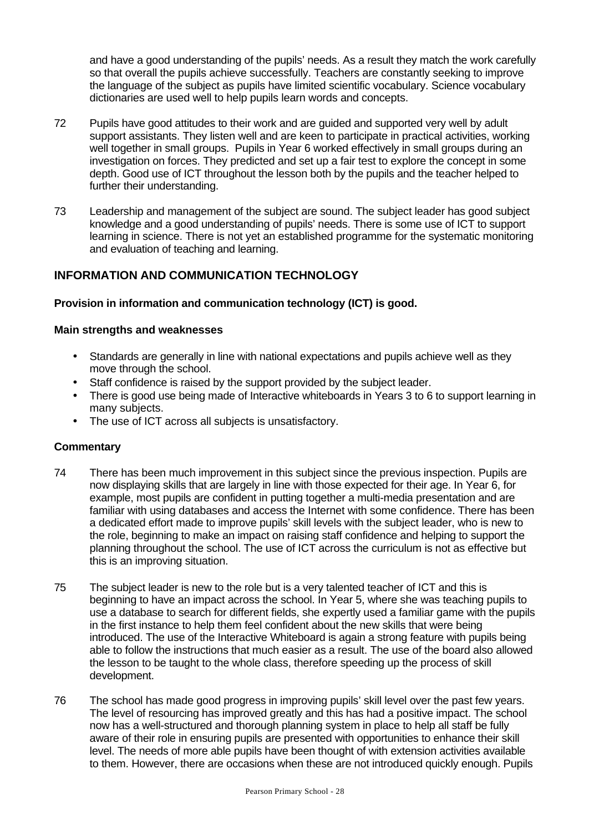and have a good understanding of the pupils' needs. As a result they match the work carefully so that overall the pupils achieve successfully. Teachers are constantly seeking to improve the language of the subject as pupils have limited scientific vocabulary. Science vocabulary dictionaries are used well to help pupils learn words and concepts.

- 72 Pupils have good attitudes to their work and are guided and supported very well by adult support assistants. They listen well and are keen to participate in practical activities, working well together in small groups. Pupils in Year 6 worked effectively in small groups during an investigation on forces. They predicted and set up a fair test to explore the concept in some depth. Good use of ICT throughout the lesson both by the pupils and the teacher helped to further their understanding.
- 73 Leadership and management of the subject are sound. The subject leader has good subject knowledge and a good understanding of pupils' needs. There is some use of ICT to support learning in science. There is not yet an established programme for the systematic monitoring and evaluation of teaching and learning.

### **INFORMATION AND COMMUNICATION TECHNOLOGY**

#### **Provision in information and communication technology (ICT) is good.**

#### **Main strengths and weaknesses**

- Standards are generally in line with national expectations and pupils achieve well as they move through the school.
- Staff confidence is raised by the support provided by the subject leader.
- There is good use being made of Interactive whiteboards in Years 3 to 6 to support learning in many subjects.
- The use of ICT across all subjects is unsatisfactory.

- 74 There has been much improvement in this subject since the previous inspection. Pupils are now displaying skills that are largely in line with those expected for their age. In Year 6, for example, most pupils are confident in putting together a multi-media presentation and are familiar with using databases and access the Internet with some confidence. There has been a dedicated effort made to improve pupils' skill levels with the subject leader, who is new to the role, beginning to make an impact on raising staff confidence and helping to support the planning throughout the school. The use of ICT across the curriculum is not as effective but this is an improving situation.
- 75 The subject leader is new to the role but is a very talented teacher of ICT and this is beginning to have an impact across the school. In Year 5, where she was teaching pupils to use a database to search for different fields, she expertly used a familiar game with the pupils in the first instance to help them feel confident about the new skills that were being introduced. The use of the Interactive Whiteboard is again a strong feature with pupils being able to follow the instructions that much easier as a result. The use of the board also allowed the lesson to be taught to the whole class, therefore speeding up the process of skill development.
- 76 The school has made good progress in improving pupils' skill level over the past few years. The level of resourcing has improved greatly and this has had a positive impact. The school now has a well-structured and thorough planning system in place to help all staff be fully aware of their role in ensuring pupils are presented with opportunities to enhance their skill level. The needs of more able pupils have been thought of with extension activities available to them. However, there are occasions when these are not introduced quickly enough. Pupils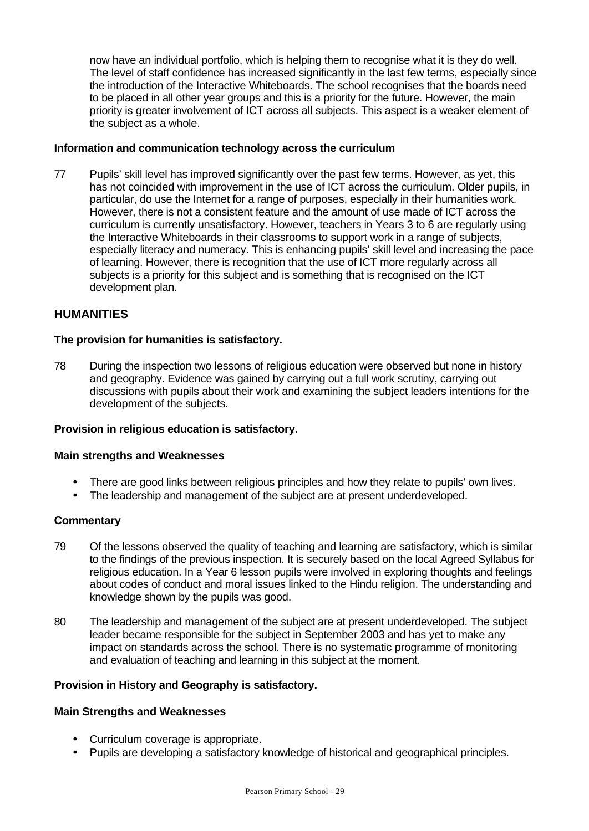now have an individual portfolio, which is helping them to recognise what it is they do well. The level of staff confidence has increased significantly in the last few terms, especially since the introduction of the Interactive Whiteboards. The school recognises that the boards need to be placed in all other year groups and this is a priority for the future. However, the main priority is greater involvement of ICT across all subjects. This aspect is a weaker element of the subject as a whole.

#### **Information and communication technology across the curriculum**

77 Pupils' skill level has improved significantly over the past few terms. However, as yet, this has not coincided with improvement in the use of ICT across the curriculum. Older pupils, in particular, do use the Internet for a range of purposes, especially in their humanities work. However, there is not a consistent feature and the amount of use made of ICT across the curriculum is currently unsatisfactory. However, teachers in Years 3 to 6 are regularly using the Interactive Whiteboards in their classrooms to support work in a range of subjects, especially literacy and numeracy. This is enhancing pupils' skill level and increasing the pace of learning. However, there is recognition that the use of ICT more regularly across all subjects is a priority for this subject and is something that is recognised on the ICT development plan.

#### **HUMANITIES**

#### **The provision for humanities is satisfactory.**

78 During the inspection two lessons of religious education were observed but none in history and geography. Evidence was gained by carrying out a full work scrutiny, carrying out discussions with pupils about their work and examining the subject leaders intentions for the development of the subjects.

#### **Provision in religious education is satisfactory.**

#### **Main strengths and Weaknesses**

- There are good links between religious principles and how they relate to pupils' own lives.
- The leadership and management of the subject are at present underdeveloped.

#### **Commentary**

- 79 Of the lessons observed the quality of teaching and learning are satisfactory, which is similar to the findings of the previous inspection. It is securely based on the local Agreed Syllabus for religious education. In a Year 6 lesson pupils were involved in exploring thoughts and feelings about codes of conduct and moral issues linked to the Hindu religion. The understanding and knowledge shown by the pupils was good.
- 80 The leadership and management of the subject are at present underdeveloped. The subject leader became responsible for the subject in September 2003 and has yet to make any impact on standards across the school. There is no systematic programme of monitoring and evaluation of teaching and learning in this subject at the moment.

### **Provision in History and Geography is satisfactory.**

#### **Main Strengths and Weaknesses**

- Curriculum coverage is appropriate.
- Pupils are developing a satisfactory knowledge of historical and geographical principles.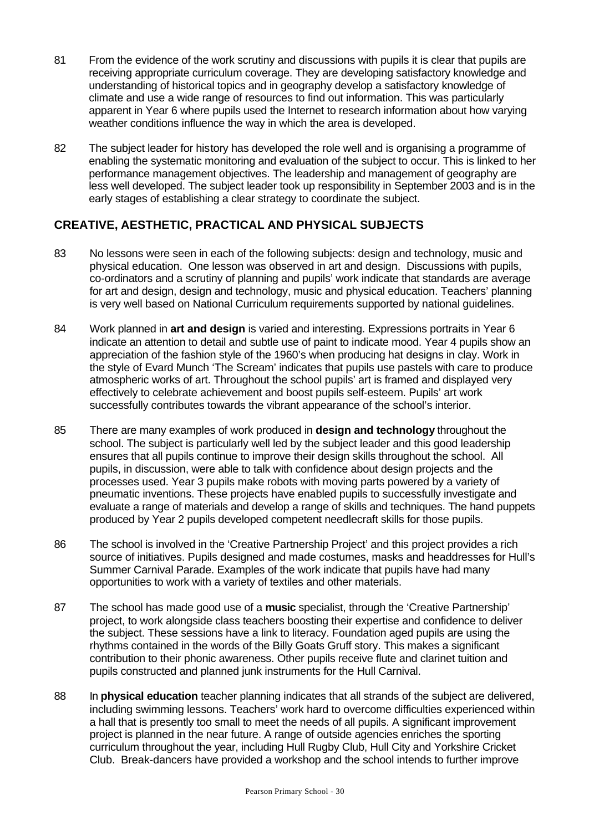- 81 From the evidence of the work scrutiny and discussions with pupils it is clear that pupils are receiving appropriate curriculum coverage. They are developing satisfactory knowledge and understanding of historical topics and in geography develop a satisfactory knowledge of climate and use a wide range of resources to find out information. This was particularly apparent in Year 6 where pupils used the Internet to research information about how varying weather conditions influence the way in which the area is developed.
- 82 The subject leader for history has developed the role well and is organising a programme of enabling the systematic monitoring and evaluation of the subject to occur. This is linked to her performance management objectives. The leadership and management of geography are less well developed. The subject leader took up responsibility in September 2003 and is in the early stages of establishing a clear strategy to coordinate the subject.

### **CREATIVE, AESTHETIC, PRACTICAL AND PHYSICAL SUBJECTS**

- 83 No lessons were seen in each of the following subjects: design and technology, music and physical education. One lesson was observed in art and design. Discussions with pupils, co-ordinators and a scrutiny of planning and pupils' work indicate that standards are average for art and design, design and technology, music and physical education. Teachers' planning is very well based on National Curriculum requirements supported by national guidelines.
- 84 Work planned in **art and design** is varied and interesting. Expressions portraits in Year 6 indicate an attention to detail and subtle use of paint to indicate mood. Year 4 pupils show an appreciation of the fashion style of the 1960's when producing hat designs in clay. Work in the style of Evard Munch 'The Scream' indicates that pupils use pastels with care to produce atmospheric works of art. Throughout the school pupils' art is framed and displayed very effectively to celebrate achievement and boost pupils self-esteem. Pupils' art work successfully contributes towards the vibrant appearance of the school's interior.
- 85 There are many examples of work produced in **design and technology** throughout the school. The subject is particularly well led by the subject leader and this good leadership ensures that all pupils continue to improve their design skills throughout the school. All pupils, in discussion, were able to talk with confidence about design projects and the processes used. Year 3 pupils make robots with moving parts powered by a variety of pneumatic inventions. These projects have enabled pupils to successfully investigate and evaluate a range of materials and develop a range of skills and techniques. The hand puppets produced by Year 2 pupils developed competent needlecraft skills for those pupils.
- 86 The school is involved in the 'Creative Partnership Project' and this project provides a rich source of initiatives. Pupils designed and made costumes, masks and headdresses for Hull's Summer Carnival Parade. Examples of the work indicate that pupils have had many opportunities to work with a variety of textiles and other materials.
- 87 The school has made good use of a **music** specialist, through the 'Creative Partnership' project, to work alongside class teachers boosting their expertise and confidence to deliver the subject. These sessions have a link to literacy. Foundation aged pupils are using the rhythms contained in the words of the Billy Goats Gruff story. This makes a significant contribution to their phonic awareness. Other pupils receive flute and clarinet tuition and pupils constructed and planned junk instruments for the Hull Carnival.
- 88 In **physical education** teacher planning indicates that all strands of the subject are delivered, including swimming lessons. Teachers' work hard to overcome difficulties experienced within a hall that is presently too small to meet the needs of all pupils. A significant improvement project is planned in the near future. A range of outside agencies enriches the sporting curriculum throughout the year, including Hull Rugby Club, Hull City and Yorkshire Cricket Club. Break-dancers have provided a workshop and the school intends to further improve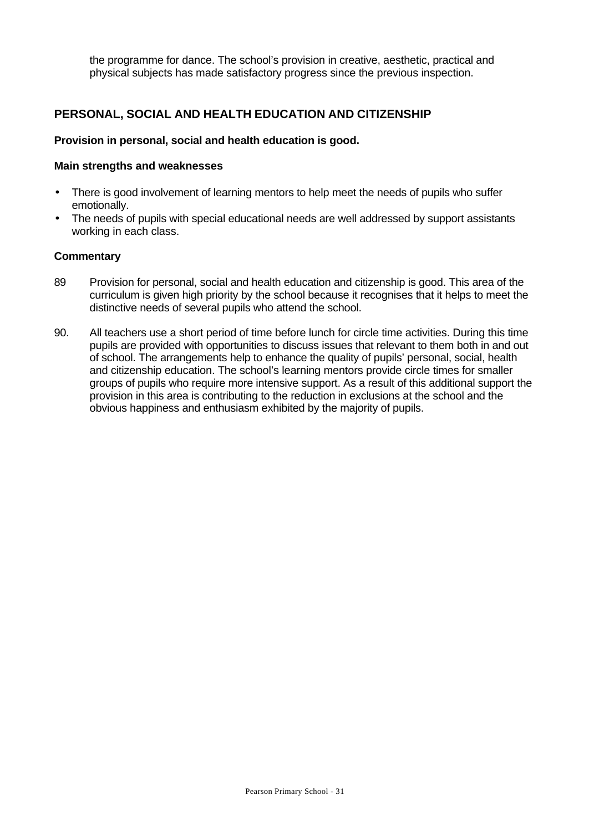the programme for dance. The school's provision in creative, aesthetic, practical and physical subjects has made satisfactory progress since the previous inspection.

### **PERSONAL, SOCIAL AND HEALTH EDUCATION AND CITIZENSHIP**

#### **Provision in personal, social and health education is good.**

#### **Main strengths and weaknesses**

- There is good involvement of learning mentors to help meet the needs of pupils who suffer emotionally.
- The needs of pupils with special educational needs are well addressed by support assistants working in each class.

- 89 Provision for personal, social and health education and citizenship is good. This area of the curriculum is given high priority by the school because it recognises that it helps to meet the distinctive needs of several pupils who attend the school.
- 90. All teachers use a short period of time before lunch for circle time activities. During this time pupils are provided with opportunities to discuss issues that relevant to them both in and out of school. The arrangements help to enhance the quality of pupils' personal, social, health and citizenship education. The school's learning mentors provide circle times for smaller groups of pupils who require more intensive support. As a result of this additional support the provision in this area is contributing to the reduction in exclusions at the school and the obvious happiness and enthusiasm exhibited by the majority of pupils.